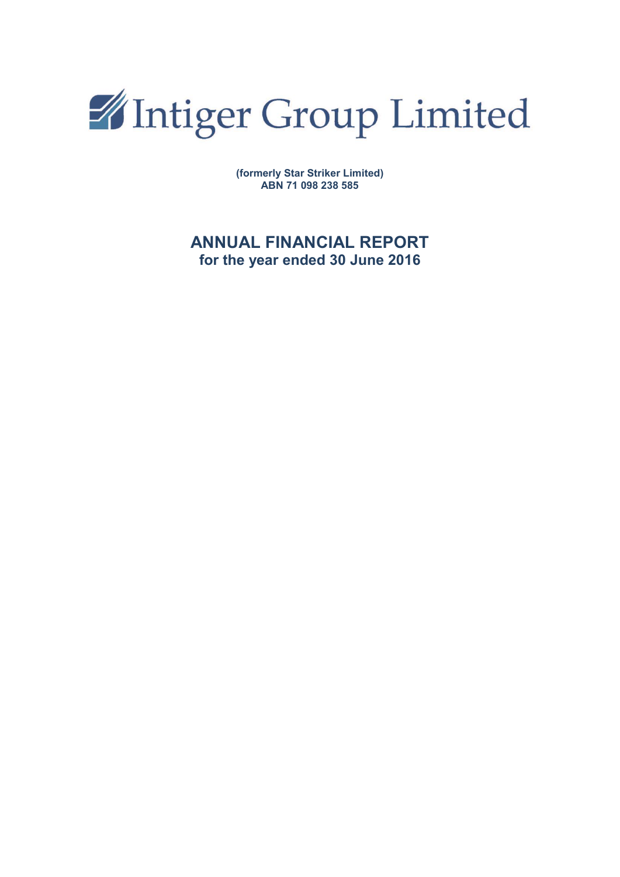

**(formerly Star Striker Limited) ABN 71 098 238 585**

## **ANNUAL FINANCIAL REPORT for the year ended 30 June 2016**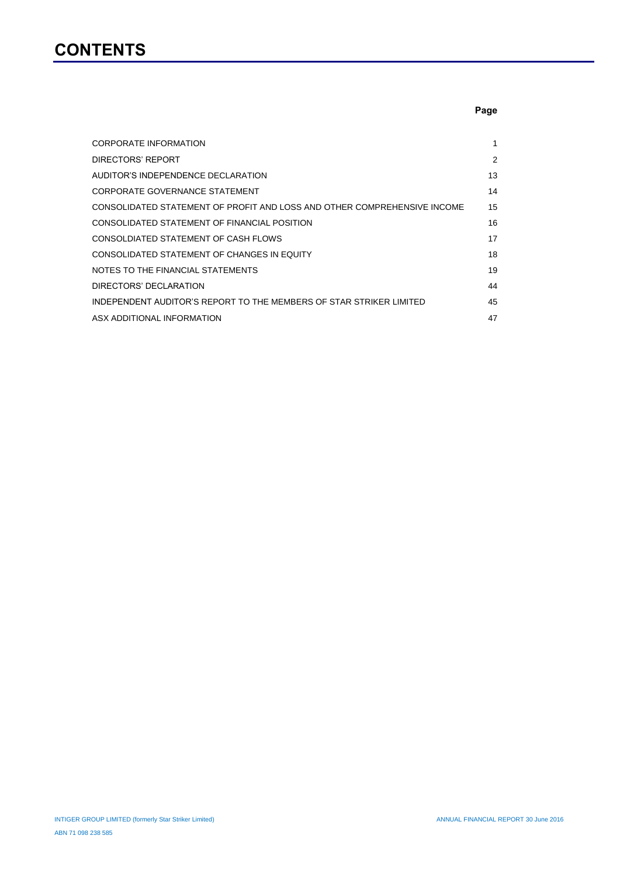# **CONTENTS**

## **Page**

| <b>CORPORATE INFORMATION</b>                                             | 1  |
|--------------------------------------------------------------------------|----|
| DIRECTORS' REPORT                                                        | 2  |
| AUDITOR'S INDEPENDENCE DECLARATION                                       | 13 |
| CORPORATE GOVERNANCE STATEMENT                                           | 14 |
| CONSOLIDATED STATEMENT OF PROFIT AND LOSS AND OTHER COMPREHENSIVE INCOME | 15 |
| CONSOLIDATED STATEMENT OF FINANCIAL POSITION                             | 16 |
| CONSOLDIATED STATEMENT OF CASH FLOWS                                     | 17 |
| CONSOLIDATED STATEMENT OF CHANGES IN EQUITY                              | 18 |
| NOTES TO THE FINANCIAL STATEMENTS                                        | 19 |
| DIRECTORS' DECLARATION                                                   | 44 |
| INDEPENDENT AUDITOR'S REPORT TO THE MEMBERS OF STAR STRIKER LIMITED      | 45 |
| ASX ADDITIONAL INFORMATION                                               | 47 |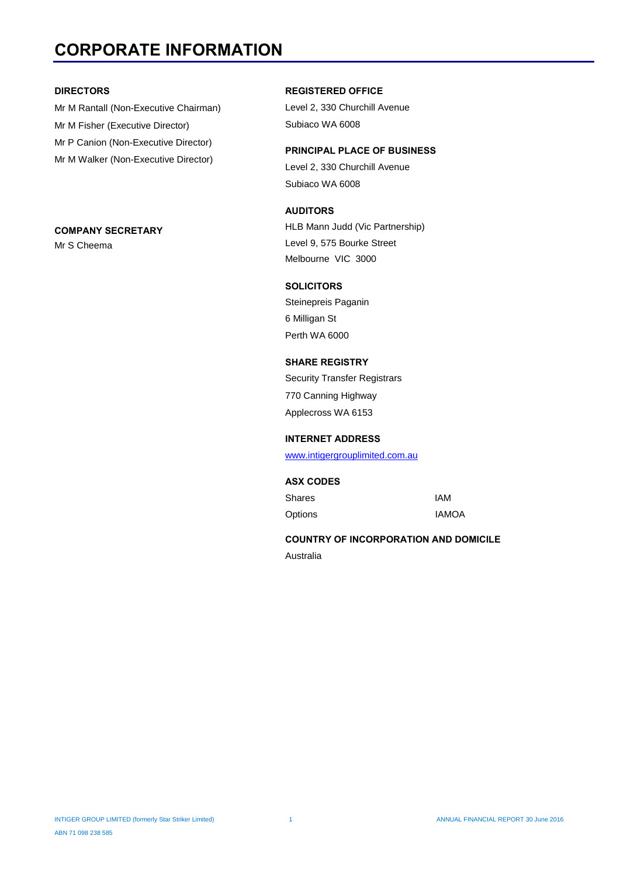# **CORPORATE INFORMATION**

#### **DIRECTORS**

Mr M Rantall (Non-Executive Chairman) Mr M Fisher (Executive Director) Mr P Canion (Non-Executive Director) Mr M Walker (Non-Executive Director)

#### **COMPANY SECRETARY**

Mr S Cheema

#### **REGISTERED OFFICE**

Level 2, 330 Churchill Avenue Subiaco WA 6008

**PRINCIPAL PLACE OF BUSINESS** Level 2, 330 Churchill Avenue Subiaco WA 6008

## **AUDITORS**

HLB Mann Judd (Vic Partnership) Level 9, 575 Bourke Street Melbourne VIC 3000

### **SOLICITORS**

Steinepreis Paganin 6 Milligan St Perth WA 6000

## **SHARE REGISTRY**

Security Transfer Registrars 770 Canning Highway Applecross WA 6153

#### **INTERNET ADDRESS**

www.intigergrouplimited.com.au

### **ASX CODES**

Shares IAM Options IAMOA

### **COUNTRY OF INCORPORATION AND DOMICILE**

Australia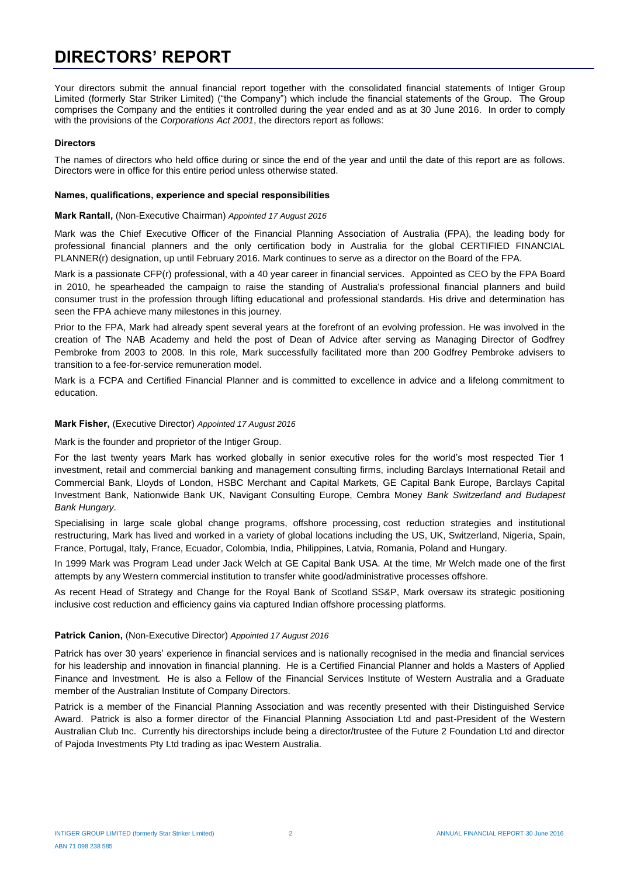# **DIRECTORS' REPORT**

Your directors submit the annual financial report together with the consolidated financial statements of Intiger Group Limited (formerly Star Striker Limited) ("the Company") which include the financial statements of the Group. The Group comprises the Company and the entities it controlled during the year ended and as at 30 June 2016. In order to comply with the provisions of the *Corporations Act 2001*, the directors report as follows:

#### **Directors**

The names of directors who held office during or since the end of the year and until the date of this report are as follows. Directors were in office for this entire period unless otherwise stated.

#### **Names, qualifications, experience and special responsibilities**

#### **Mark Rantall,** (Non-Executive Chairman) *Appointed 17 August 2016*

Mark was the Chief Executive Officer of the Financial Planning Association of Australia (FPA), the leading body for professional financial planners and the only certification body in Australia for the global CERTIFIED FINANCIAL PLANNER(r) designation, up until February 2016. Mark continues to serve as a director on the Board of the FPA.

Mark is a passionate CFP(r) professional, with a 40 year career in financial services. Appointed as CEO by the FPA Board in 2010, he spearheaded the campaign to raise the standing of Australia's professional financial planners and build consumer trust in the profession through lifting educational and professional standards. His drive and determination has seen the FPA achieve many milestones in this journey.

Prior to the FPA, Mark had already spent several years at the forefront of an evolving profession. He was involved in the creation of The NAB Academy and held the post of Dean of Advice after serving as Managing Director of Godfrey Pembroke from 2003 to 2008. In this role, Mark successfully facilitated more than 200 Godfrey Pembroke advisers to transition to a fee-for-service remuneration model.

Mark is a FCPA and Certified Financial Planner and is committed to excellence in advice and a lifelong commitment to education.

#### **Mark Fisher,** (Executive Director) *Appointed 17 August 2016*

Mark is the founder and proprietor of the Intiger Group.

For the last twenty years Mark has worked globally in senior executive roles for the world's most respected Tier 1 investment, retail and commercial banking and management consulting firms, including Barclays International Retail and Commercial Bank, Lloyds of London, HSBC Merchant and Capital Markets, GE Capital Bank Europe, Barclays Capital Investment Bank, Nationwide Bank UK, Navigant Consulting Europe, Cembra Money *Bank Switzerland and Budapest Bank Hungary.*

Specialising in large scale global change programs, offshore processing, cost reduction strategies and institutional restructuring, Mark has lived and worked in a variety of global locations including the US, UK, Switzerland, Nigeria, Spain, France, Portugal, Italy, France, Ecuador, Colombia, India, Philippines, Latvia, Romania, Poland and Hungary.

In 1999 Mark was Program Lead under Jack Welch at GE Capital Bank USA. At the time, Mr Welch made one of the first attempts by any Western commercial institution to transfer white good/administrative processes offshore.

As recent Head of Strategy and Change for the Royal Bank of Scotland SS&P, Mark oversaw its strategic positioning inclusive cost reduction and efficiency gains via captured Indian offshore processing platforms.

#### **Patrick Canion,** (Non-Executive Director) *Appointed 17 August 2016*

Patrick has over 30 years' experience in financial services and is nationally recognised in the media and financial services for his leadership and innovation in financial planning. He is a Certified Financial Planner and holds a Masters of Applied Finance and Investment. He is also a Fellow of the Financial Services Institute of Western Australia and a Graduate member of the Australian Institute of Company Directors.

Patrick is a member of the Financial Planning Association and was recently presented with their Distinguished Service Award. Patrick is also a former director of the Financial Planning Association Ltd and past-President of the Western Australian Club Inc. Currently his directorships include being a director/trustee of the Future 2 Foundation Ltd and director of Pajoda Investments Pty Ltd trading as ipac Western Australia.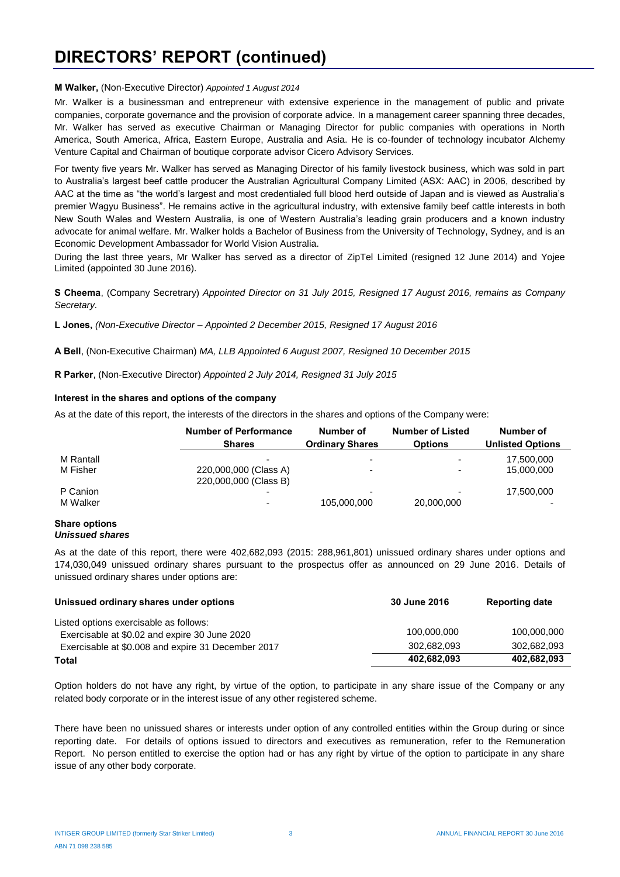# **DIRECTORS' REPORT (continued)**

#### **M Walker,** (Non-Executive Director) *Appointed 1 August 2014*

Mr. Walker is a businessman and entrepreneur with extensive experience in the management of public and private companies, corporate governance and the provision of corporate advice. In a management career spanning three decades, Mr. Walker has served as executive Chairman or Managing Director for public companies with operations in North America, South America, Africa, Eastern Europe, Australia and Asia. He is co-founder of technology incubator Alchemy Venture Capital and Chairman of boutique corporate advisor Cicero Advisory Services.

For twenty five years Mr. Walker has served as Managing Director of his family livestock business, which was sold in part to Australia's largest beef cattle producer the Australian Agricultural Company Limited (ASX: AAC) in 2006, described by AAC at the time as "the world's largest and most credentialed full blood herd outside of Japan and is viewed as Australia's premier Wagyu Business". He remains active in the agricultural industry, with extensive family beef cattle interests in both New South Wales and Western Australia, is one of Western Australia's leading grain producers and a known industry advocate for animal welfare. Mr. Walker holds a Bachelor of Business from the University of Technology, Sydney, and is an Economic Development Ambassador for World Vision Australia.

During the last three years, Mr Walker has served as a director of ZipTel Limited (resigned 12 June 2014) and Yojee Limited (appointed 30 June 2016).

**S Cheema**, (Company Secretrary) *Appointed Director on 31 July 2015, Resigned 17 August 2016, remains as Company Secretary.*

**L Jones,** *(Non-Executive Director – Appointed 2 December 2015, Resigned 17 August 2016*

**A Bell**, (Non-Executive Chairman) *MA, LLB Appointed 6 August 2007, Resigned 10 December 2015*

**R Parker**, (Non-Executive Director) *Appointed 2 July 2014, Resigned 31 July 2015*

#### **Interest in the shares and options of the company**

As at the date of this report, the interests of the directors in the shares and options of the Company were:

|           | <b>Number of Performance</b><br><b>Shares</b>  | Number of<br><b>Ordinary Shares</b> | <b>Number of Listed</b><br><b>Options</b> | Number of<br><b>Unlisted Options</b> |
|-----------|------------------------------------------------|-------------------------------------|-------------------------------------------|--------------------------------------|
| M Rantall |                                                |                                     |                                           | 17,500,000                           |
| M Fisher  | 220,000,000 (Class A)<br>220,000,000 (Class B) |                                     |                                           | 15,000,000                           |
| P Canion  |                                                | -                                   |                                           | 17,500,000                           |
| M Walker  |                                                | 105,000,000                         | 20,000,000                                |                                      |

#### **Share options** *Unissued shares*

As at the date of this report, there were 402,682,093 (2015: 288,961,801) unissued ordinary shares under options and 174,030,049 unissued ordinary shares pursuant to the prospectus offer as announced on 29 June 2016. Details of unissued ordinary shares under options are:

| Unissued ordinary shares under options                                                  | 30 June 2016 | <b>Reporting date</b> |
|-----------------------------------------------------------------------------------------|--------------|-----------------------|
| Listed options exercisable as follows:<br>Exercisable at \$0.02 and expire 30 June 2020 | 100,000,000  | 100,000,000           |
| Exercisable at \$0.008 and expire 31 December 2017                                      | 302.682.093  | 302.682.093           |
| Total                                                                                   | 402,682,093  | 402,682,093           |

Option holders do not have any right, by virtue of the option, to participate in any share issue of the Company or any related body corporate or in the interest issue of any other registered scheme.

There have been no unissued shares or interests under option of any controlled entities within the Group during or since reporting date. For details of options issued to directors and executives as remuneration, refer to the Remuneration Report. No person entitled to exercise the option had or has any right by virtue of the option to participate in any share issue of any other body corporate.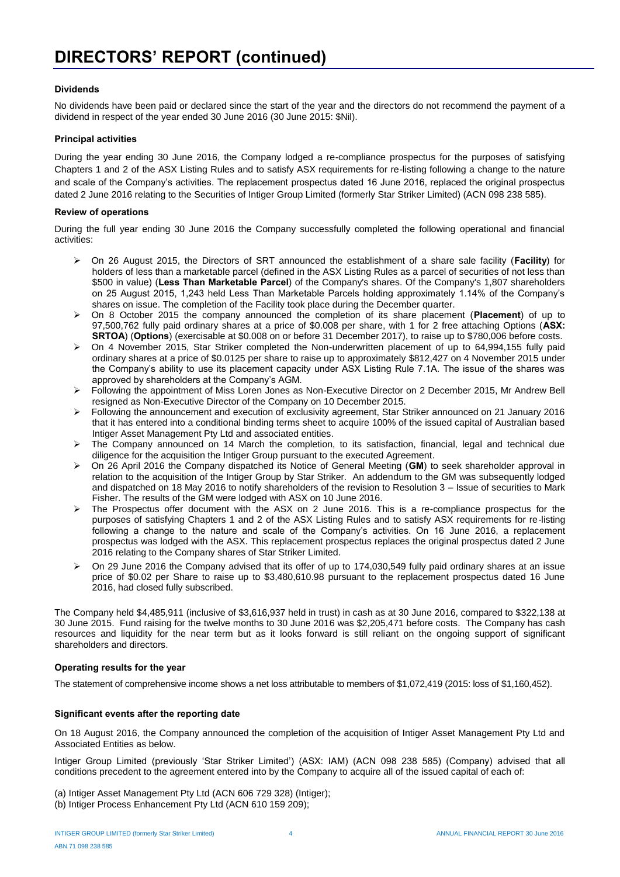#### **Dividends**

No dividends have been paid or declared since the start of the year and the directors do not recommend the payment of a dividend in respect of the year ended 30 June 2016 (30 June 2015: \$Nil).

#### **Principal activities**

During the year ending 30 June 2016, the Company lodged a re-compliance prospectus for the purposes of satisfying Chapters 1 and 2 of the ASX Listing Rules and to satisfy ASX requirements for re-listing following a change to the nature and scale of the Company's activities. The replacement prospectus dated 16 June 2016, replaced the original prospectus dated 2 June 2016 relating to the Securities of Intiger Group Limited (formerly Star Striker Limited) (ACN 098 238 585).

#### **Review of operations**

During the full year ending 30 June 2016 the Company successfully completed the following operational and financial activities:

- On 26 August 2015, the Directors of SRT announced the establishment of a share sale facility (**Facility**) for holders of less than a marketable parcel (defined in the ASX Listing Rules as a parcel of securities of not less than \$500 in value) (**Less Than Marketable Parcel**) of the Company's shares. Of the Company's 1,807 shareholders on 25 August 2015, 1,243 held Less Than Marketable Parcels holding approximately 1.14% of the Company's shares on issue. The completion of the Facility took place during the December quarter.
- On 8 October 2015 the company announced the completion of its share placement (**Placement**) of up to 97,500,762 fully paid ordinary shares at a price of \$0.008 per share, with 1 for 2 free attaching Options (**ASX: SRTOA**) (**Options**) (exercisable at \$0.008 on or before 31 December 2017), to raise up to \$780,006 before costs.
- $\triangleright$  On 4 November 2015, Star Striker completed the Non-underwritten placement of up to 64,994,155 fully paid ordinary shares at a price of \$0.0125 per share to raise up to approximately \$812,427 on 4 November 2015 under the Company's ability to use its placement capacity under ASX Listing Rule 7.1A. The issue of the shares was approved by shareholders at the Company's AGM.
- Following the appointment of Miss Loren Jones as Non-Executive Director on 2 December 2015, Mr Andrew Bell resigned as Non-Executive Director of the Company on 10 December 2015.
- $\triangleright$  Following the announcement and execution of exclusivity agreement, Star Striker announced on 21 January 2016 that it has entered into a conditional binding terms sheet to acquire 100% of the issued capital of Australian based Intiger Asset Management Pty Ltd and associated entities.
- The Company announced on 14 March the completion, to its satisfaction, financial, legal and technical due diligence for the acquisition the Intiger Group pursuant to the executed Agreement.
- On 26 April 2016 the Company dispatched its Notice of General Meeting (**GM**) to seek shareholder approval in relation to the acquisition of the Intiger Group by Star Striker. An addendum to the GM was subsequently lodged and dispatched on 18 May 2016 to notify shareholders of the revision to Resolution 3 – Issue of securities to Mark Fisher. The results of the GM were lodged with ASX on 10 June 2016.
- $\triangleright$  The Prospectus offer document with the ASX on 2 June 2016. This is a re-compliance prospectus for the purposes of satisfying Chapters 1 and 2 of the ASX Listing Rules and to satisfy ASX requirements for re-listing following a change to the nature and scale of the Company's activities. On 16 June 2016, a replacement prospectus was lodged with the ASX. This replacement prospectus replaces the original prospectus dated 2 June 2016 relating to the Company shares of Star Striker Limited.
- $\triangleright$  On 29 June 2016 the Company advised that its offer of up to 174,030,549 fully paid ordinary shares at an issue price of \$0.02 per Share to raise up to \$3,480,610.98 pursuant to the replacement prospectus dated 16 June 2016, had closed fully subscribed.

The Company held \$4,485,911 (inclusive of \$3,616,937 held in trust) in cash as at 30 June 2016, compared to \$322,138 at 30 June 2015. Fund raising for the twelve months to 30 June 2016 was \$2,205,471 before costs. The Company has cash resources and liquidity for the near term but as it looks forward is still reliant on the ongoing support of significant shareholders and directors.

#### **Operating results for the year**

The statement of comprehensive income shows a net loss attributable to members of \$1,072,419 (2015: loss of \$1,160,452).

#### **Significant events after the reporting date**

On 18 August 2016, the Company announced the completion of the acquisition of Intiger Asset Management Pty Ltd and Associated Entities as below.

Intiger Group Limited (previously 'Star Striker Limited') (ASX: IAM) (ACN 098 238 585) (Company) advised that all conditions precedent to the agreement entered into by the Company to acquire all of the issued capital of each of:

- (a) Intiger Asset Management Pty Ltd (ACN 606 729 328) (Intiger);
- (b) Intiger Process Enhancement Pty Ltd (ACN 610 159 209);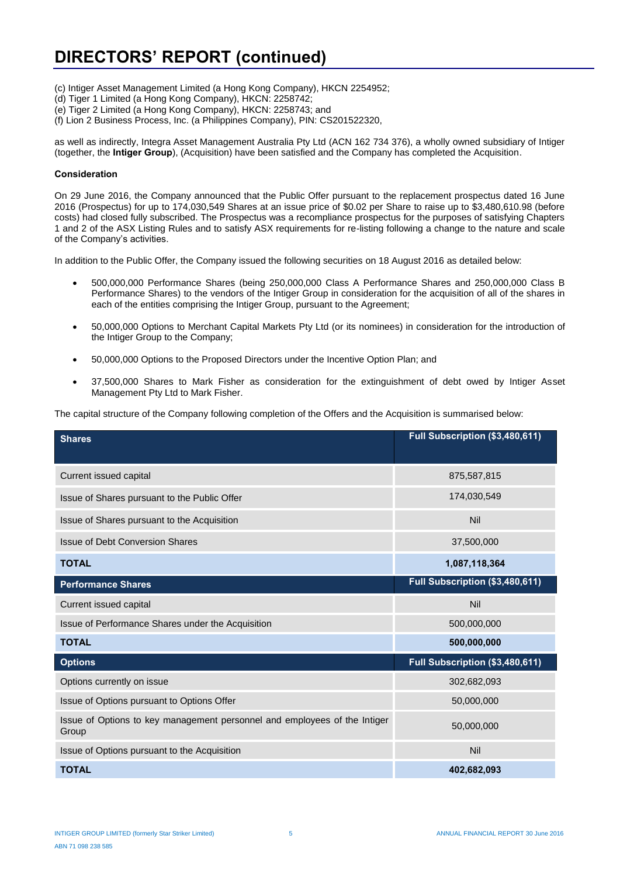- (c) Intiger Asset Management Limited (a Hong Kong Company), HKCN 2254952;
- (d) Tiger 1 Limited (a Hong Kong Company), HKCN: 2258742;
- (e) Tiger 2 Limited (a Hong Kong Company), HKCN: 2258743; and
- (f) Lion 2 Business Process, Inc. (a Philippines Company), PIN: CS201522320,

as well as indirectly, Integra Asset Management Australia Pty Ltd (ACN 162 734 376), a wholly owned subsidiary of Intiger (together, the **Intiger Group**), (Acquisition) have been satisfied and the Company has completed the Acquisition.

#### **Consideration**

On 29 June 2016, the Company announced that the Public Offer pursuant to the replacement prospectus dated 16 June 2016 (Prospectus) for up to 174,030,549 Shares at an issue price of \$0.02 per Share to raise up to \$3,480,610.98 (before costs) had closed fully subscribed. The Prospectus was a recompliance prospectus for the purposes of satisfying Chapters 1 and 2 of the ASX Listing Rules and to satisfy ASX requirements for re-listing following a change to the nature and scale of the Company's activities.

In addition to the Public Offer, the Company issued the following securities on 18 August 2016 as detailed below:

- 500,000,000 Performance Shares (being 250,000,000 Class A Performance Shares and 250,000,000 Class B Performance Shares) to the vendors of the Intiger Group in consideration for the acquisition of all of the shares in each of the entities comprising the Intiger Group, pursuant to the Agreement;
- 50,000,000 Options to Merchant Capital Markets Pty Ltd (or its nominees) in consideration for the introduction of the Intiger Group to the Company;
- 50,000,000 Options to the Proposed Directors under the Incentive Option Plan; and
- 37,500,000 Shares to Mark Fisher as consideration for the extinguishment of debt owed by Intiger Asset Management Pty Ltd to Mark Fisher.

The capital structure of the Company following completion of the Offers and the Acquisition is summarised below:

| <b>Shares</b>                                                                      | Full Subscription (\$3,480,611) |
|------------------------------------------------------------------------------------|---------------------------------|
| Current issued capital                                                             | 875,587,815                     |
| Issue of Shares pursuant to the Public Offer                                       | 174,030,549                     |
| Issue of Shares pursuant to the Acquisition                                        | Nil                             |
| <b>Issue of Debt Conversion Shares</b>                                             | 37,500,000                      |
| <b>TOTAL</b>                                                                       | 1,087,118,364                   |
| <b>Performance Shares</b>                                                          | Full Subscription (\$3,480,611) |
| Current issued capital                                                             | Nil                             |
| Issue of Performance Shares under the Acquisition                                  | 500,000,000                     |
| <b>TOTAL</b>                                                                       | 500,000,000                     |
| <b>Options</b>                                                                     | Full Subscription (\$3,480,611) |
| Options currently on issue                                                         | 302,682,093                     |
| Issue of Options pursuant to Options Offer                                         | 50,000,000                      |
| Issue of Options to key management personnel and employees of the Intiger<br>Group | 50,000,000                      |
| Issue of Options pursuant to the Acquisition                                       | Nil                             |
| <b>TOTAL</b>                                                                       | 402,682,093                     |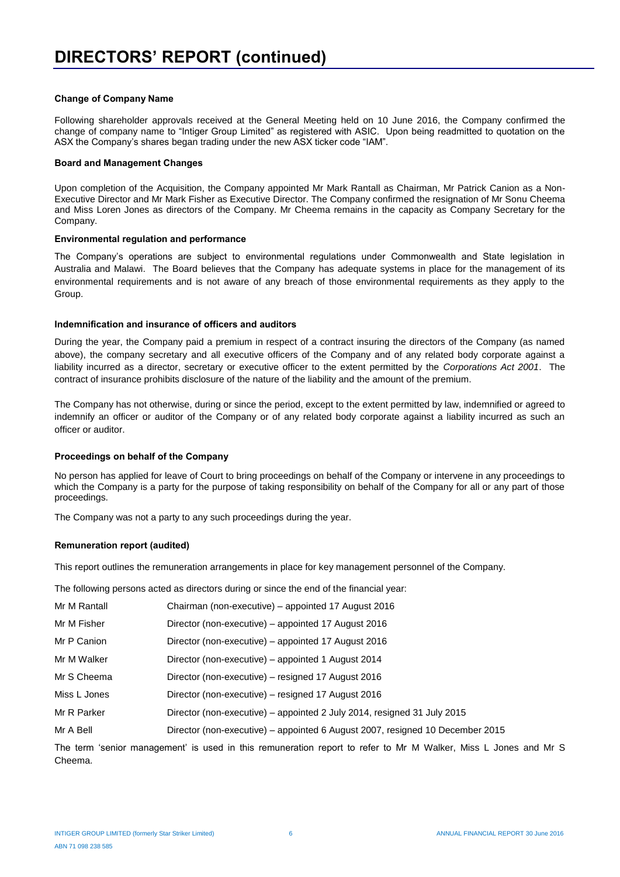#### **Change of Company Name**

Following shareholder approvals received at the General Meeting held on 10 June 2016, the Company confirmed the change of company name to "Intiger Group Limited" as registered with ASIC. Upon being readmitted to quotation on the ASX the Company's shares began trading under the new ASX ticker code "IAM".

#### **Board and Management Changes**

Upon completion of the Acquisition, the Company appointed Mr Mark Rantall as Chairman, Mr Patrick Canion as a Non-Executive Director and Mr Mark Fisher as Executive Director. The Company confirmed the resignation of Mr Sonu Cheema and Miss Loren Jones as directors of the Company. Mr Cheema remains in the capacity as Company Secretary for the Company.

#### **Environmental regulation and performance**

The Company's operations are subject to environmental regulations under Commonwealth and State legislation in Australia and Malawi. The Board believes that the Company has adequate systems in place for the management of its environmental requirements and is not aware of any breach of those environmental requirements as they apply to the Group.

#### **Indemnification and insurance of officers and auditors**

During the year, the Company paid a premium in respect of a contract insuring the directors of the Company (as named above), the company secretary and all executive officers of the Company and of any related body corporate against a liability incurred as a director, secretary or executive officer to the extent permitted by the *Corporations Act 2001*. The contract of insurance prohibits disclosure of the nature of the liability and the amount of the premium.

The Company has not otherwise, during or since the period, except to the extent permitted by law, indemnified or agreed to indemnify an officer or auditor of the Company or of any related body corporate against a liability incurred as such an officer or auditor.

#### **Proceedings on behalf of the Company**

No person has applied for leave of Court to bring proceedings on behalf of the Company or intervene in any proceedings to which the Company is a party for the purpose of taking responsibility on behalf of the Company for all or any part of those proceedings.

The Company was not a party to any such proceedings during the year.

#### **Remuneration report (audited)**

This report outlines the remuneration arrangements in place for key management personnel of the Company.

The following persons acted as directors during or since the end of the financial year:

| Mr M Rantall | Chairman (non-executive) – appointed 17 August 2016                           |
|--------------|-------------------------------------------------------------------------------|
| Mr M Fisher  | Director (non-executive) - appointed 17 August 2016                           |
| Mr P Canion  | Director (non-executive) – appointed 17 August 2016                           |
| Mr M Walker  | Director (non-executive) – appointed 1 August 2014                            |
| Mr S Cheema  | Director (non-executive) – resigned 17 August 2016                            |
| Miss L Jones | Director (non-executive) – resigned 17 August 2016                            |
| Mr R Parker  | Director (non-executive) – appointed 2 July 2014, resigned 31 July 2015       |
| Mr A Bell    | Director (non-executive) – appointed 6 August 2007, resigned 10 December 2015 |

The term 'senior management' is used in this remuneration report to refer to Mr M Walker, Miss L Jones and Mr S Cheema.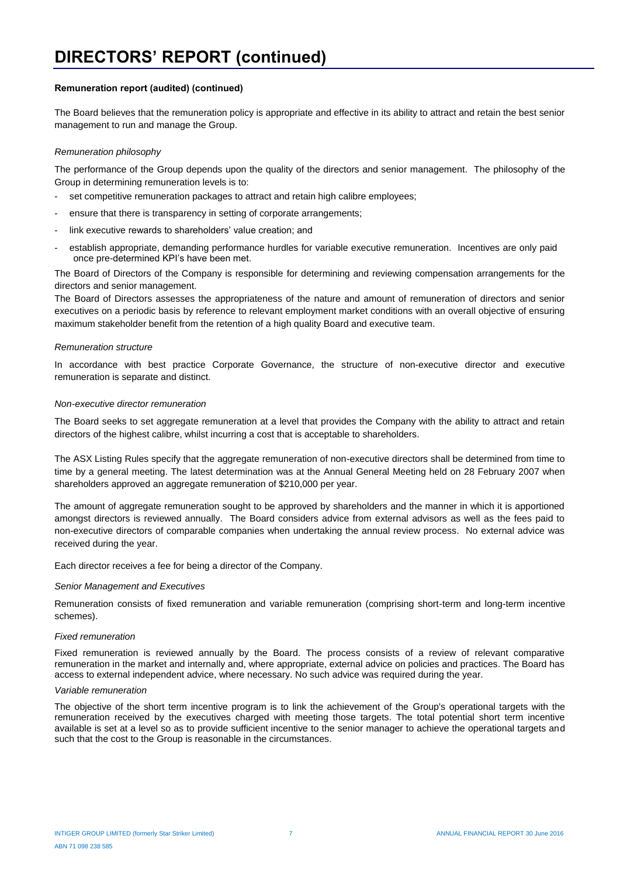#### **Remuneration report (audited) (continued)**

The Board believes that the remuneration policy is appropriate and effective in its ability to attract and retain the best senior management to run and manage the Group.

#### *Remuneration philosophy*

The performance of the Group depends upon the quality of the directors and senior management. The philosophy of the Group in determining remuneration levels is to:

- set competitive remuneration packages to attract and retain high calibre employees;
- ensure that there is transparency in setting of corporate arrangements;
- link executive rewards to shareholders' value creation; and
- establish appropriate, demanding performance hurdles for variable executive remuneration. Incentives are only paid once pre-determined KPI's have been met.

The Board of Directors of the Company is responsible for determining and reviewing compensation arrangements for the directors and senior management.

The Board of Directors assesses the appropriateness of the nature and amount of remuneration of directors and senior executives on a periodic basis by reference to relevant employment market conditions with an overall objective of ensuring maximum stakeholder benefit from the retention of a high quality Board and executive team.

#### *Remuneration structure*

In accordance with best practice Corporate Governance, the structure of non-executive director and executive remuneration is separate and distinct.

#### *Non-executive director remuneration*

The Board seeks to set aggregate remuneration at a level that provides the Company with the ability to attract and retain directors of the highest calibre, whilst incurring a cost that is acceptable to shareholders.

The ASX Listing Rules specify that the aggregate remuneration of non-executive directors shall be determined from time to time by a general meeting. The latest determination was at the Annual General Meeting held on 28 February 2007 when shareholders approved an aggregate remuneration of \$210,000 per year.

The amount of aggregate remuneration sought to be approved by shareholders and the manner in which it is apportioned amongst directors is reviewed annually. The Board considers advice from external advisors as well as the fees paid to non-executive directors of comparable companies when undertaking the annual review process. No external advice was received during the year.

Each director receives a fee for being a director of the Company.

#### *Senior Management and Executives*

Remuneration consists of fixed remuneration and variable remuneration (comprising short-term and long-term incentive schemes).

#### *Fixed remuneration*

Fixed remuneration is reviewed annually by the Board. The process consists of a review of relevant comparative remuneration in the market and internally and, where appropriate, external advice on policies and practices. The Board has access to external independent advice, where necessary. No such advice was required during the year.

#### *Variable remuneration*

The objective of the short term incentive program is to link the achievement of the Group's operational targets with the remuneration received by the executives charged with meeting those targets. The total potential short term incentive available is set at a level so as to provide sufficient incentive to the senior manager to achieve the operational targets and such that the cost to the Group is reasonable in the circumstances.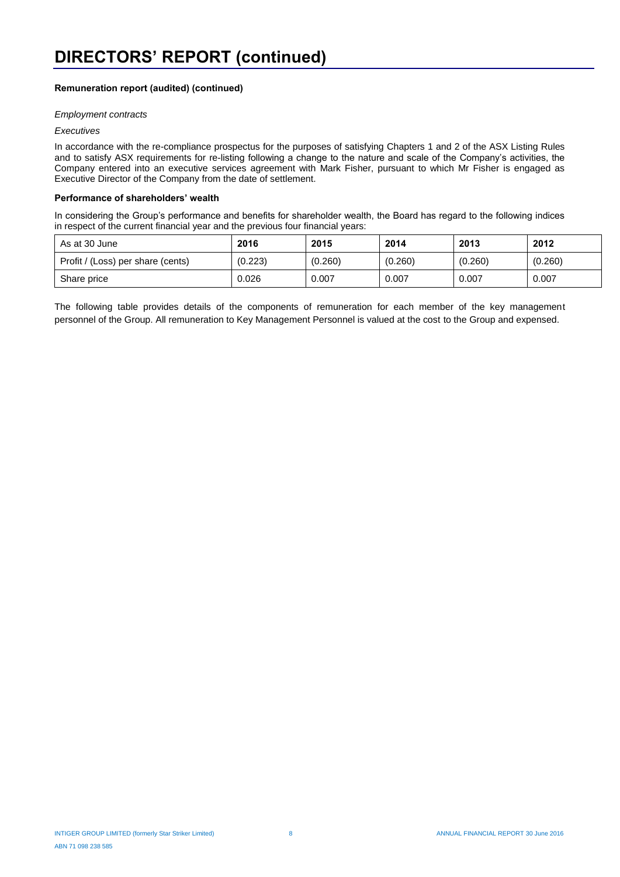### **Remuneration report (audited) (continued)**

#### *Employment contracts*

#### *Executives*

In accordance with the re-compliance prospectus for the purposes of satisfying Chapters 1 and 2 of the ASX Listing Rules and to satisfy ASX requirements for re-listing following a change to the nature and scale of the Company's activities, the Company entered into an executive services agreement with Mark Fisher, pursuant to which Mr Fisher is engaged as Executive Director of the Company from the date of settlement.

#### **Performance of shareholders' wealth**

In considering the Group's performance and benefits for shareholder wealth, the Board has regard to the following indices in respect of the current financial year and the previous four financial years:

| As at 30 June                     | 2016    | 2015    | 2014    | 2013    | 2012    |
|-----------------------------------|---------|---------|---------|---------|---------|
| Profit / (Loss) per share (cents) | (0.223) | (0.260) | (0.260) | (0.260) | (0.260) |
| Share price                       | 0.026   | 0.007   | 0.007   | 0.007   | 0.007   |

The following table provides details of the components of remuneration for each member of the key management personnel of the Group. All remuneration to Key Management Personnel is valued at the cost to the Group and expensed.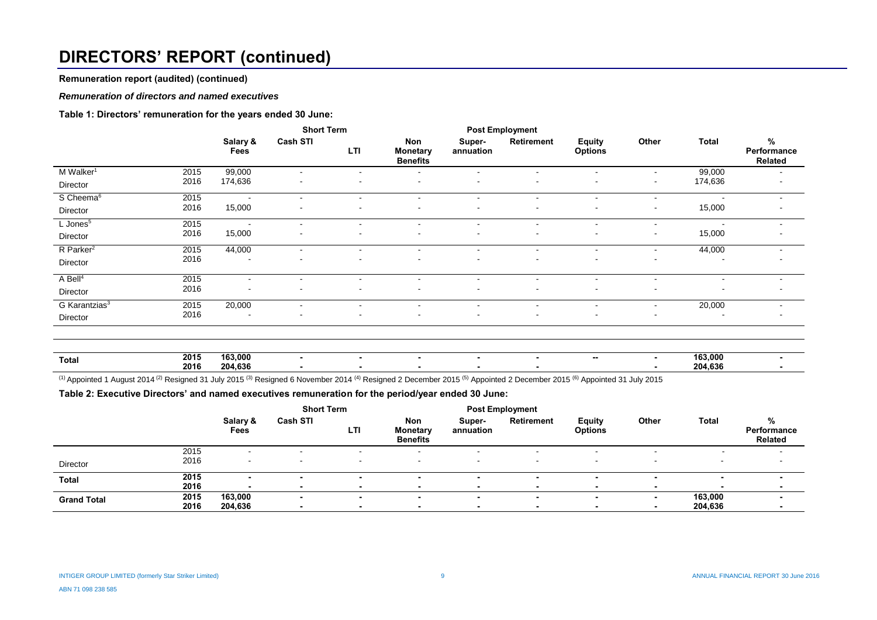# **DIRECTORS' REPORT (continued)**

**Remuneration report (audited) (continued)**

#### *Remuneration of directors and named executives*

#### **Table 1: Directors' remuneration for the years ended 30 June:**

|                           |      | <b>Short Term</b>        |                          |                          | <b>Post Employment</b>                    |                          |                          |                                 |         |                          |                                       |
|---------------------------|------|--------------------------|--------------------------|--------------------------|-------------------------------------------|--------------------------|--------------------------|---------------------------------|---------|--------------------------|---------------------------------------|
|                           |      | Salary &<br>Fees         | <b>Cash STI</b>          | LTI                      | Non<br><b>Monetary</b><br><b>Benefits</b> | Super-<br>annuation      | Retirement               | <b>Equity</b><br><b>Options</b> | Other   | <b>Total</b>             | $\%$<br>Performance<br><b>Related</b> |
| M Walker <sup>1</sup>     | 2015 | 99,000                   |                          |                          | $\sim$                                    |                          |                          |                                 | ۰.      | 99,000                   | $\sim$                                |
| Director                  | 2016 | 174,636                  |                          |                          | $\overline{\phantom{a}}$                  |                          |                          |                                 | $\sim$  | 174,636                  | $\,$ $\,$                             |
| S Cheema <sup>6</sup>     | 2015 | $\sim$                   | $\overline{\phantom{a}}$ | $\sim$                   | $\sim$                                    | $\blacksquare$           | $\overline{\phantom{a}}$ | $\sim$                          | $\sim$  | $\overline{\phantom{a}}$ | $\sim$                                |
| Director                  | 2016 | 15,000                   |                          |                          |                                           |                          |                          |                                 | ۰       | 15,000                   | $\sim$                                |
| $L$ Jones <sup>5</sup>    | 2015 | $\sim$                   | $\sim$                   | $\sim$                   | $\sim$                                    | $\sim$                   | $\overline{\phantom{a}}$ | $\sim$                          | ۰.      | $\overline{\phantom{a}}$ | $\sim$                                |
| Director                  | 2016 | 15,000                   |                          |                          | ۰                                         |                          |                          |                                 | ۰       | 15,000                   |                                       |
| R Parker <sup>2</sup>     | 2015 | 44,000                   | $\overline{\phantom{a}}$ | $\overline{\phantom{a}}$ | $\blacksquare$                            | $\overline{\phantom{a}}$ | $\blacksquare$           | $\blacksquare$                  | ۰.      | 44,000                   | $\sim$                                |
| Director                  | 2016 |                          |                          |                          |                                           |                          |                          |                                 |         |                          | $\,$ $\,$                             |
| A Bell <sup>4</sup>       | 2015 | $\overline{\phantom{a}}$ | $\blacksquare$           | $\sim$                   | $\overline{\phantom{a}}$                  | $\overline{\phantom{a}}$ | $\blacksquare$           | $\sim$                          | ۰.      | $\overline{\phantom{a}}$ | $\sim$                                |
| Director                  | 2016 |                          |                          |                          | $\blacksquare$                            | $\sim$                   | $\blacksquare$           | $\,$                            | ۰       |                          | $\blacksquare$                        |
| G Karantzias <sup>3</sup> | 2015 | 20,000                   | $\overline{\phantom{a}}$ | $\sim$                   | $\sim$                                    | $\sim$                   | $\overline{\phantom{a}}$ | $\blacksquare$                  | $\sim$  | 20,000                   | $\sim$                                |
| Director                  | 2016 |                          |                          |                          | ۰                                         |                          | $\blacksquare$           |                                 |         |                          | $\sim$                                |
|                           |      |                          |                          |                          |                                           |                          |                          |                                 |         |                          |                                       |
|                           | 2015 | 163,000                  |                          |                          |                                           |                          |                          |                                 |         | 163,000                  |                                       |
| <b>Total</b>              | 2016 | 204,636                  | $\sim$                   | $\sim$                   | $\blacksquare$<br>۰                       | $\sim$<br>$\blacksquare$ | ٠<br>۰                   | $\sim$                          | ۰.<br>۰ | 204,636                  | $\sim$<br>$\blacksquare$              |

(1) Appointed 1 August 2014 <sup>(2)</sup> Resigned 31 July 2015 <sup>(3)</sup> Resigned 6 November 2014 <sup>(4)</sup> Resigned 2 December 2015 <sup>(5)</sup> Appointed 2 December 2015 <sup>(6)</sup> Appointed 31 July 2015

**Table 2: Executive Directors' and named executives remuneration for the period/year ended 30 June:**

|                    |      |                          | <b>Short Term</b>        |                          | <b>Post Employment</b>                    |                     |            |                                 |        |         |                                    |
|--------------------|------|--------------------------|--------------------------|--------------------------|-------------------------------------------|---------------------|------------|---------------------------------|--------|---------|------------------------------------|
|                    |      | Salary &<br>Fees         | <b>Cash STI</b>          | LTI                      | Non<br><b>Monetary</b><br><b>Benefits</b> | Super-<br>annuation | Retirement | <b>Equity</b><br><b>Options</b> | Other  | Total   | %<br>Performance<br><b>Related</b> |
|                    | 2015 | $\overline{\phantom{0}}$ | $\overline{\phantom{a}}$ |                          |                                           |                     |            |                                 |        |         |                                    |
| Director           | 2016 | $\sim$                   | $\overline{\phantom{a}}$ | $\overline{\phantom{a}}$ | $\overline{\phantom{0}}$                  | . .                 |            |                                 |        |         |                                    |
| <b>Total</b>       | 2015 |                          |                          |                          |                                           |                     |            |                                 |        |         |                                    |
|                    | 2016 |                          |                          |                          |                                           |                     |            |                                 |        |         |                                    |
| <b>Grand Total</b> | 2015 | 163,000                  | $\blacksquare$           |                          | $\overline{\phantom{a}}$                  |                     |            |                                 | $\sim$ | 163,000 |                                    |
|                    | 2016 | 204,636                  |                          |                          |                                           |                     |            |                                 |        | 204,636 |                                    |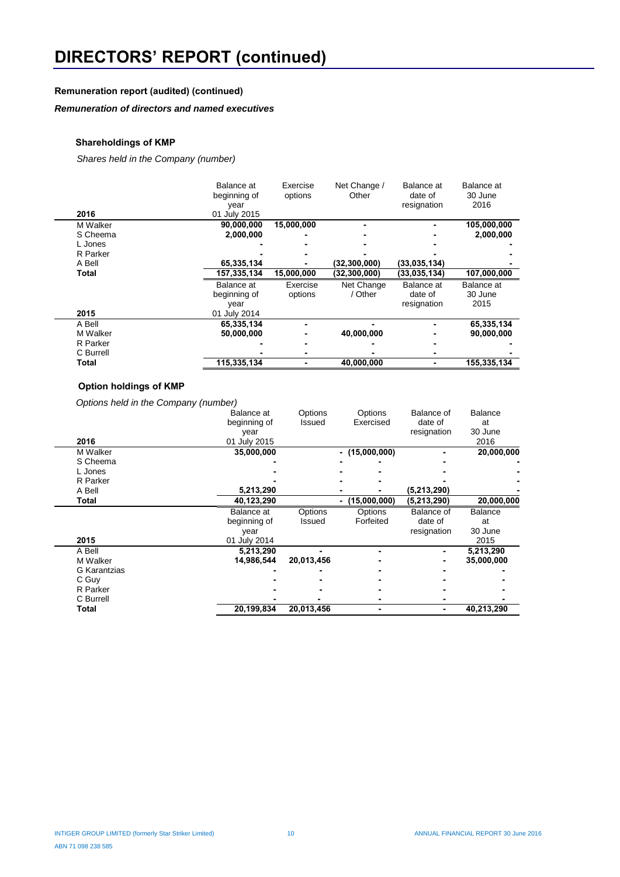## **Remuneration report (audited) (continued)**

## *Remuneration of directors and named executives*

### **Shareholdings of KMP**

*Shares held in the Company (number)*

| 2016      | Balance at<br>beginning of<br>year<br>01 July 2015 | Exercise<br>options | Net Change /<br>Other | Balance at<br>date of<br>resignation | Balance at<br>30 June<br>2016 |
|-----------|----------------------------------------------------|---------------------|-----------------------|--------------------------------------|-------------------------------|
| M Walker  | 90,000,000                                         | 15,000,000          |                       |                                      | 105,000,000                   |
| S Cheema  | 2,000,000                                          |                     |                       |                                      | 2,000,000                     |
| L Jones   |                                                    |                     |                       |                                      |                               |
| R Parker  |                                                    |                     |                       |                                      |                               |
| A Bell    | 65,335,134                                         |                     | (32, 300, 000)        | (33,035,134)                         |                               |
| Total     | 157,335,134                                        | 15,000,000          | (32, 300, 000)        | (33,035,134)                         | 107,000,000                   |
|           | Balance at<br>beginning of<br>year                 | Exercise<br>options | Net Change<br>/ Other | Balance at<br>date of<br>resignation | Balance at<br>30 June<br>2015 |
| 2015      | 01 July 2014                                       |                     |                       |                                      |                               |
| A Bell    | 65,335,134                                         | ۰                   |                       |                                      | 65,335,134                    |
| M Walker  | 50,000,000                                         | ٠                   | 40.000.000            |                                      | 90,000,000                    |
| R Parker  |                                                    |                     |                       |                                      |                               |
| C Burrell |                                                    | ٠                   |                       |                                      |                               |
| Total     | 115,335,134                                        |                     | 40,000,000            |                                      | 155,335,134                   |

### **Option holdings of KMP**

l.

 *Options held in the Company (number)*

| 2016         | Balance at<br>beginning of<br>year<br>01 July 2015 | Options<br>Issued | Options<br>Exercised | Balance of<br>date of<br>resignation | Balance<br>at<br>30 June<br>2016 |
|--------------|----------------------------------------------------|-------------------|----------------------|--------------------------------------|----------------------------------|
| M Walker     | 35,000,000                                         |                   | $-$ (15,000,000)     |                                      | 20,000,000                       |
| S Cheema     |                                                    |                   |                      |                                      |                                  |
| L Jones      |                                                    |                   |                      |                                      |                                  |
| R Parker     |                                                    |                   |                      |                                      |                                  |
| A Bell       | 5,213,290                                          |                   |                      | (5, 213, 290)                        |                                  |
| Total        | 40,123,290                                         |                   | (15,000,000)         | (5, 213, 290)                        | 20,000,000                       |
|              | Balance at                                         | Options           | Options              | Balance of                           | Balance                          |
|              | beginning of                                       | Issued            | Forfeited            | date of                              | at                               |
|              | year                                               |                   |                      | resignation                          | 30 June                          |
| 2015         | 01 July 2014                                       |                   |                      |                                      | 2015                             |
| A Bell       | 5,213,290                                          |                   |                      | ۰                                    | 5,213,290                        |
| M Walker     | 14.986.544                                         | 20,013,456        |                      | ۰                                    | 35,000,000                       |
| G Karantzias |                                                    |                   |                      |                                      |                                  |
| C Guy        |                                                    |                   |                      |                                      |                                  |
| R Parker     |                                                    |                   |                      |                                      |                                  |
| C Burrell    |                                                    |                   |                      |                                      |                                  |
| Total        | 20,199,834                                         | 20,013,456        |                      |                                      | 40,213,290                       |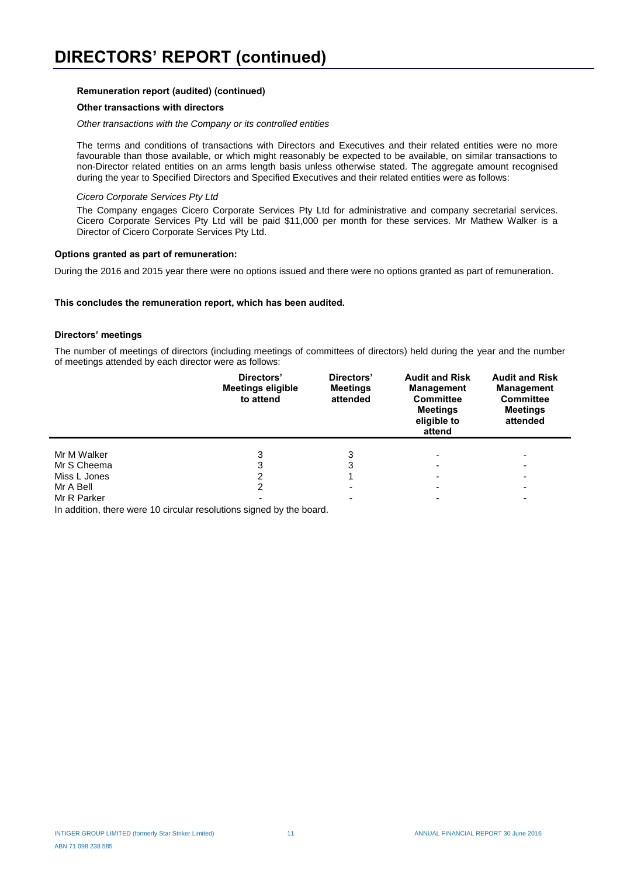#### **Remuneration report (audited) (continued)**

#### **Other transactions with directors**

*Other transactions with the Company or its controlled entities*

The terms and conditions of transactions with Directors and Executives and their related entities were no more favourable than those available, or which might reasonably be expected to be available, on similar transactions to non-Director related entities on an arms length basis unless otherwise stated. The aggregate amount recognised during the year to Specified Directors and Specified Executives and their related entities were as follows:

#### *Cicero Corporate Services Pty Ltd*

The Company engages Cicero Corporate Services Pty Ltd for administrative and company secretarial services. Cicero Corporate Services Pty Ltd will be paid \$11,000 per month for these services. Mr Mathew Walker is a Director of Cicero Corporate Services Pty Ltd.

#### **Options granted as part of remuneration:**

During the 2016 and 2015 year there were no options issued and there were no options granted as part of remuneration.

#### **This concludes the remuneration report, which has been audited.**

#### **Directors' meetings**

The number of meetings of directors (including meetings of committees of directors) held during the year and the number of meetings attended by each director were as follows:

|              | Directors'<br><b>Meetings eligible</b><br>to attend | Directors'<br><b>Meetings</b><br>attended | <b>Audit and Risk</b><br><b>Management</b><br><b>Committee</b><br><b>Meetings</b><br>eligible to<br>attend | <b>Audit and Risk</b><br><b>Management</b><br><b>Committee</b><br><b>Meetings</b><br>attended |
|--------------|-----------------------------------------------------|-------------------------------------------|------------------------------------------------------------------------------------------------------------|-----------------------------------------------------------------------------------------------|
| Mr M Walker  | 3                                                   | 3                                         |                                                                                                            |                                                                                               |
| Mr S Cheema  | 3                                                   |                                           |                                                                                                            | -                                                                                             |
| Miss L Jones | 2                                                   |                                           |                                                                                                            |                                                                                               |
| Mr A Bell    | 2                                                   |                                           |                                                                                                            | -                                                                                             |
| Mr R Parker  |                                                     |                                           |                                                                                                            |                                                                                               |

In addition, there were 10 circular resolutions signed by the board.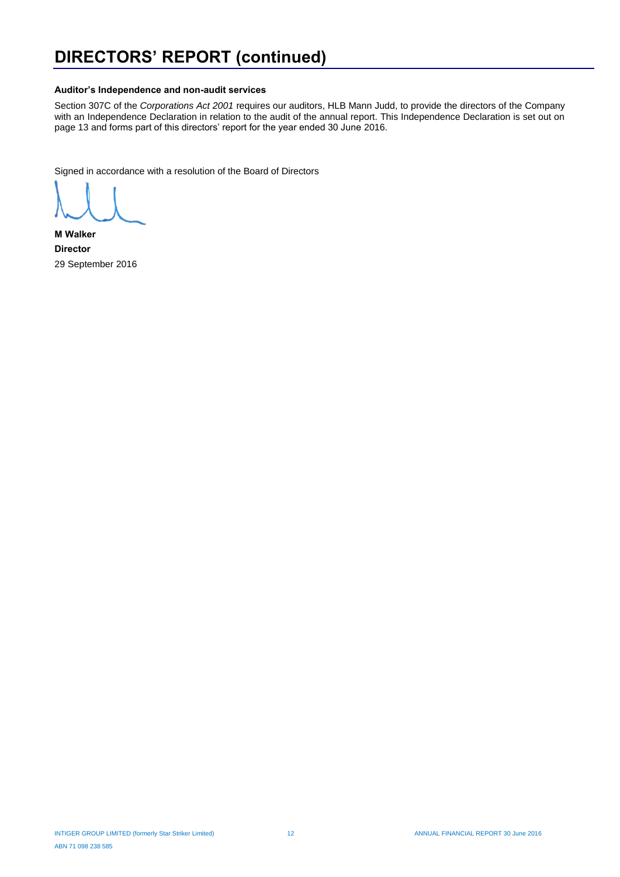# **DIRECTORS' REPORT (continued)**

#### **Auditor's Independence and non-audit services**

Section 307C of the *Corporations Act 2001* requires our auditors, HLB Mann Judd, to provide the directors of the Company with an Independence Declaration in relation to the audit of the annual report. This Independence Declaration is set out on page 13 and forms part of this directors' report for the year ended 30 June 2016.

Signed in accordance with a resolution of the Board of Directors

**M Walker Director** 29 September 2016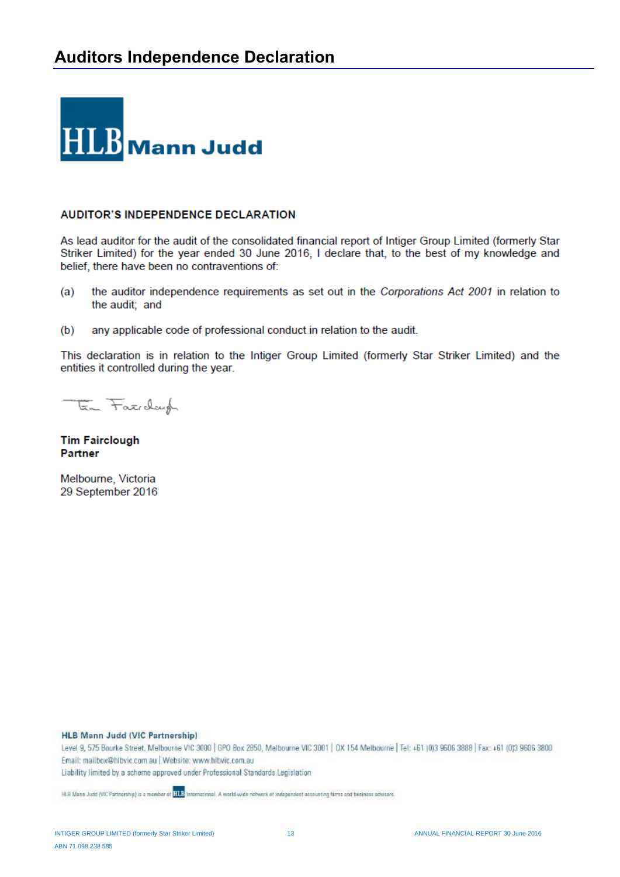

## **AUDITOR'S INDEPENDENCE DECLARATION**

As lead auditor for the audit of the consolidated financial report of Intiger Group Limited (formerly Star Striker Limited) for the year ended 30 June 2016, I declare that, to the best of my knowledge and belief, there have been no contraventions of:

- the auditor independence requirements as set out in the Corporations Act 2001 in relation to  $(a)$ the audit; and
- $(b)$ any applicable code of professional conduct in relation to the audit.

This declaration is in relation to the Intiger Group Limited (formerly Star Striker Limited) and the entities it controlled during the year.

En Fatichungh

**Tim Fairclough Partner** 

Melbourne, Victoria 29 September 2016

**HLB Mann Judd (VIC Partnership)** 

Level 9, 575 Bourke Street, Melbourne VIC 3000 | GPO Box 2850, Melbourne VIC 3001 | DX 154 Melbourne | Tel: +61 (0)3 9606 3888 | Fax: +61 (0)3 9606 3880 Email: mailbox@hlbvic.com.au | Website: www.hlbvic.com.au Liability limited by a scheme approved under Professional Standards Legislation

HLB Mann Judd (VIC Partnership) is a momber of **HLB** International. A world-wide network of independent accounting firms and business advisers.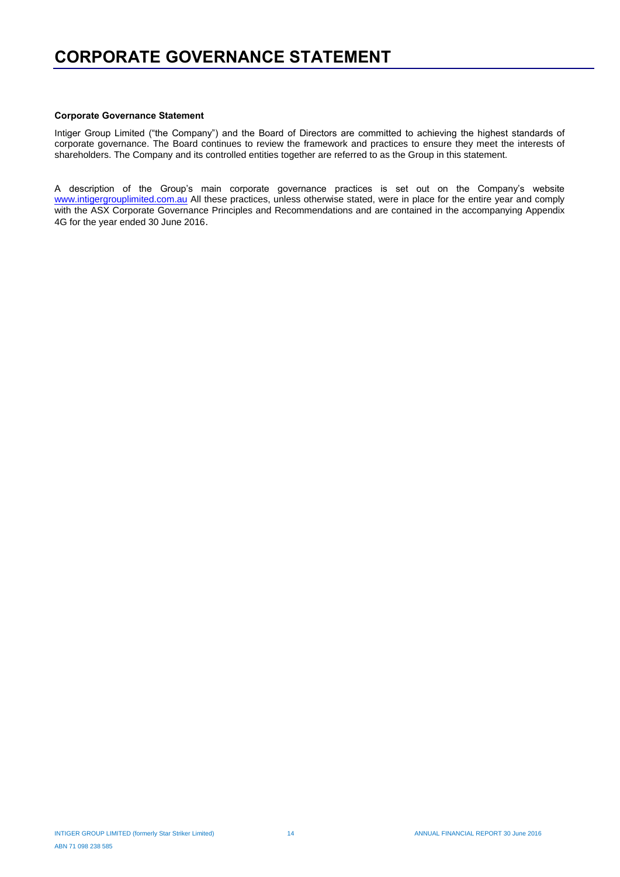#### **Corporate Governance Statement**

Intiger Group Limited ("the Company") and the Board of Directors are committed to achieving the highest standards of corporate governance. The Board continues to review the framework and practices to ensure they meet the interests of shareholders. The Company and its controlled entities together are referred to as the Group in this statement.

A description of the Group's main corporate governance practices is set out on the Company's website www.intigergrouplimited.com.au All these practices, unless otherwise stated, were in place for the entire year and comply with the ASX Corporate Governance Principles and Recommendations and are contained in the accompanying Appendix 4G for the year ended 30 June 2016.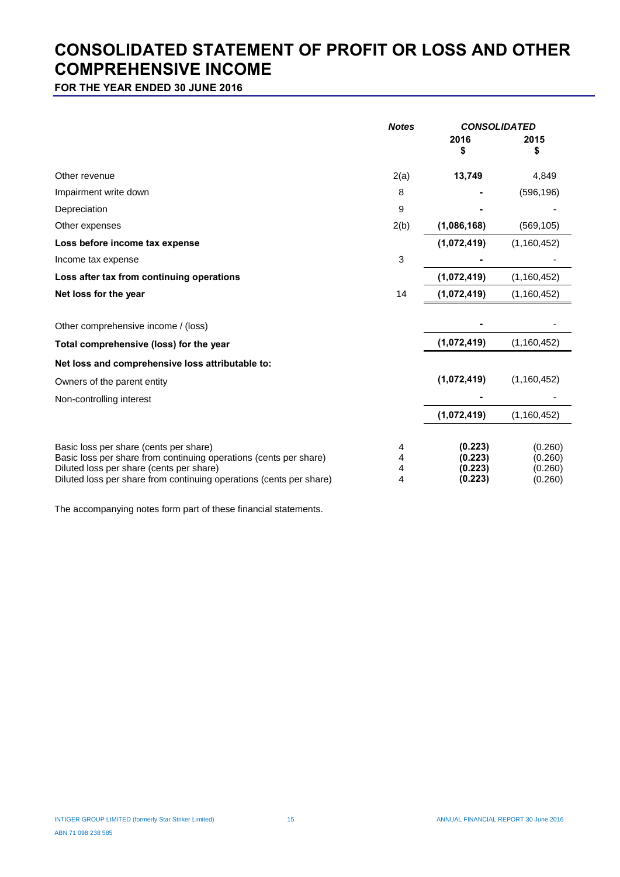## **CONSOLIDATED STATEMENT OF PROFIT OR LOSS AND OTHER COMPREHENSIVE INCOME**

**FOR THE YEAR ENDED 30 JUNE 2016**

|                                                                                                                                                                                                                                | <b>Notes</b>     | <b>CONSOLIDATED</b>                      |                                          |  |
|--------------------------------------------------------------------------------------------------------------------------------------------------------------------------------------------------------------------------------|------------------|------------------------------------------|------------------------------------------|--|
|                                                                                                                                                                                                                                |                  | 2016<br>\$                               | 2015<br>\$                               |  |
| Other revenue                                                                                                                                                                                                                  | 2(a)             | 13,749                                   | 4,849                                    |  |
| Impairment write down                                                                                                                                                                                                          | 8                |                                          | (596, 196)                               |  |
| Depreciation                                                                                                                                                                                                                   | 9                |                                          |                                          |  |
| Other expenses                                                                                                                                                                                                                 | 2(b)             | (1,086,168)                              | (569, 105)                               |  |
| Loss before income tax expense                                                                                                                                                                                                 |                  | (1,072,419)                              | (1, 160, 452)                            |  |
| Income tax expense                                                                                                                                                                                                             | 3                |                                          |                                          |  |
| Loss after tax from continuing operations                                                                                                                                                                                      |                  | (1,072,419)                              | (1, 160, 452)                            |  |
| Net loss for the year                                                                                                                                                                                                          | 14               | (1,072,419)                              | (1, 160, 452)                            |  |
| Other comprehensive income / (loss)                                                                                                                                                                                            |                  |                                          |                                          |  |
| Total comprehensive (loss) for the year                                                                                                                                                                                        |                  | (1,072,419)                              | (1, 160, 452)                            |  |
| Net loss and comprehensive loss attributable to:                                                                                                                                                                               |                  |                                          |                                          |  |
| Owners of the parent entity                                                                                                                                                                                                    |                  | (1,072,419)                              | (1, 160, 452)                            |  |
| Non-controlling interest                                                                                                                                                                                                       |                  |                                          |                                          |  |
|                                                                                                                                                                                                                                |                  | (1,072,419)                              | (1, 160, 452)                            |  |
| Basic loss per share (cents per share)<br>Basic loss per share from continuing operations (cents per share)<br>Diluted loss per share (cents per share)<br>Diluted loss per share from continuing operations (cents per share) | 4<br>4<br>4<br>4 | (0.223)<br>(0.223)<br>(0.223)<br>(0.223) | (0.260)<br>(0.260)<br>(0.260)<br>(0.260) |  |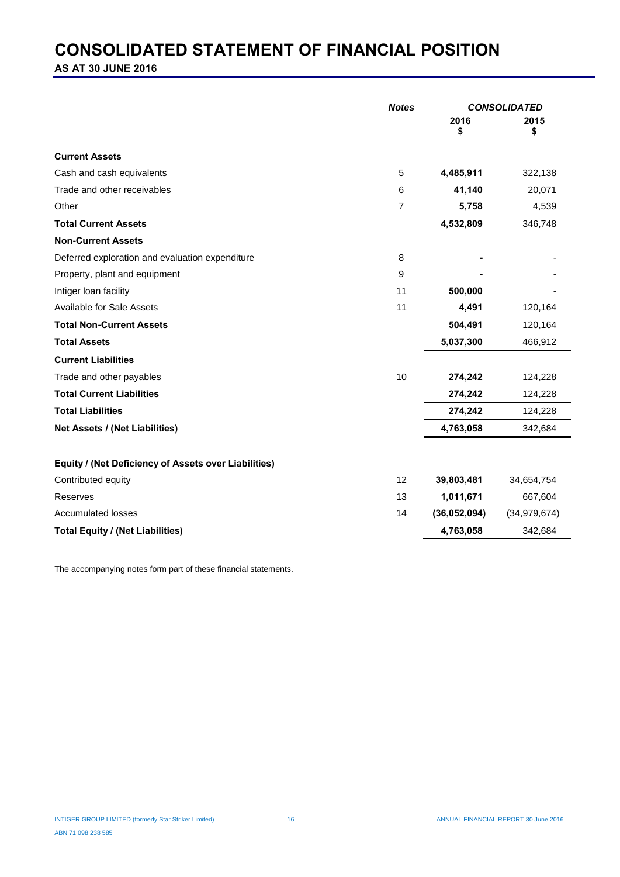## **CONSOLIDATED STATEMENT OF FINANCIAL POSITION**

**AS AT 30 JUNE 2016**

|                                                      | 2016         |                |
|------------------------------------------------------|--------------|----------------|
|                                                      | S            | 2015<br>\$     |
| <b>Current Assets</b>                                |              |                |
| Cash and cash equivalents<br>5                       | 4,485,911    | 322,138        |
| Trade and other receivables<br>6                     | 41,140       | 20,071         |
| $\overline{7}$<br>Other                              | 5,758        | 4,539          |
| <b>Total Current Assets</b>                          | 4,532,809    | 346,748        |
| <b>Non-Current Assets</b>                            |              |                |
| Deferred exploration and evaluation expenditure<br>8 |              |                |
| Property, plant and equipment<br>9                   |              |                |
| Intiger loan facility<br>11                          | 500,000      |                |
| Available for Sale Assets<br>11                      | 4,491        | 120,164        |
| <b>Total Non-Current Assets</b>                      | 504,491      | 120,164        |
| <b>Total Assets</b>                                  | 5,037,300    | 466,912        |
| <b>Current Liabilities</b>                           |              |                |
| 10<br>Trade and other payables                       | 274,242      | 124,228        |
| <b>Total Current Liabilities</b>                     | 274,242      | 124,228        |
| <b>Total Liabilities</b>                             | 274,242      | 124,228        |
| Net Assets / (Net Liabilities)                       | 4,763,058    | 342,684        |
| Equity / (Net Deficiency of Assets over Liabilities) |              |                |
| 12<br>Contributed equity                             | 39,803,481   | 34,654,754     |
| 13<br>Reserves                                       | 1,011,671    | 667,604        |
| Accumulated losses<br>14                             | (36,052,094) | (34, 979, 674) |
| <b>Total Equity / (Net Liabilities)</b>              | 4,763,058    | 342,684        |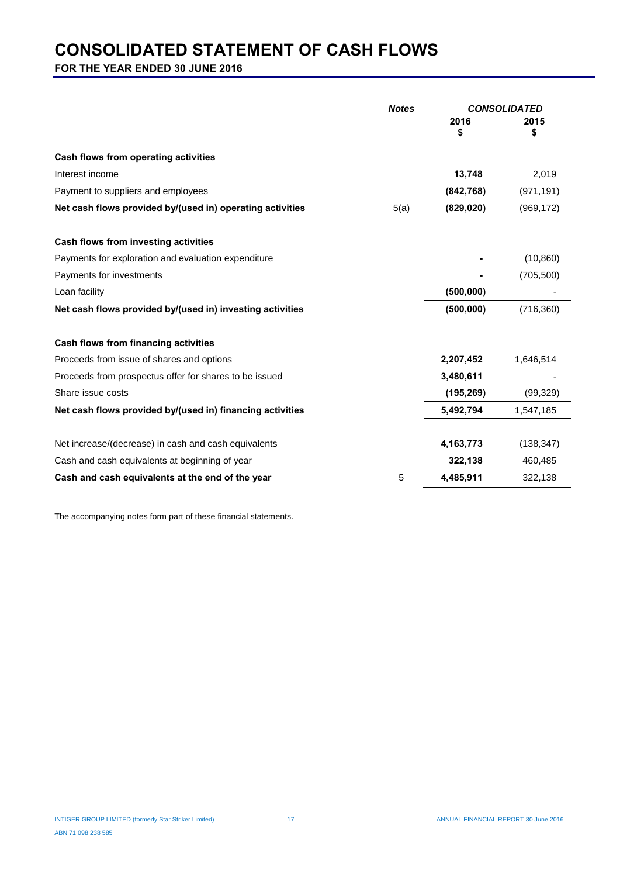## **CONSOLIDATED STATEMENT OF CASH FLOWS**

**FOR THE YEAR ENDED 30 JUNE 2016**

|                                                           | <b>Notes</b> |            | <b>CONSOLIDATED</b> |
|-----------------------------------------------------------|--------------|------------|---------------------|
|                                                           |              | 2016<br>\$ | 2015<br>\$          |
| Cash flows from operating activities                      |              |            |                     |
| Interest income                                           |              | 13,748     | 2,019               |
| Payment to suppliers and employees                        |              | (842, 768) | (971, 191)          |
| Net cash flows provided by/(used in) operating activities | 5(a)         | (829, 020) | (969, 172)          |
| Cash flows from investing activities                      |              |            |                     |
| Payments for exploration and evaluation expenditure       |              |            | (10, 860)           |
| Payments for investments                                  |              |            | (705, 500)          |
| Loan facility                                             |              | (500,000)  |                     |
| Net cash flows provided by/(used in) investing activities |              | (500, 000) | (716, 360)          |
| Cash flows from financing activities                      |              |            |                     |
| Proceeds from issue of shares and options                 |              | 2,207,452  | 1,646,514           |
| Proceeds from prospectus offer for shares to be issued    |              | 3,480,611  |                     |
| Share issue costs                                         |              | (195, 269) | (99, 329)           |
| Net cash flows provided by/(used in) financing activities |              | 5,492,794  | 1,547,185           |
| Net increase/(decrease) in cash and cash equivalents      |              | 4,163,773  | (138, 347)          |
| Cash and cash equivalents at beginning of year            |              | 322,138    | 460,485             |
| Cash and cash equivalents at the end of the year          | 5            | 4,485,911  | 322,138             |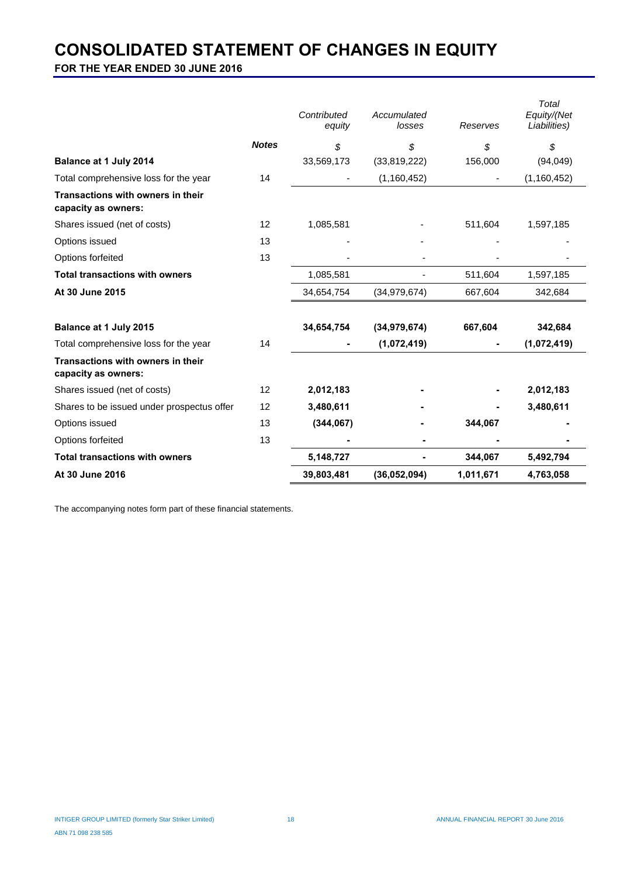## **CONSOLIDATED STATEMENT OF CHANGES IN EQUITY**

**FOR THE YEAR ENDED 30 JUNE 2016**

|                                                          |              | Contributed<br>equity | Accumulated<br>losses | Reserves  | Total<br>Equity/(Net<br>Liabilities) |
|----------------------------------------------------------|--------------|-----------------------|-----------------------|-----------|--------------------------------------|
|                                                          | <b>Notes</b> | \$                    | \$                    | \$        | \$                                   |
| Balance at 1 July 2014                                   |              | 33,569,173            | (33,819,222)          | 156,000   | (94, 049)                            |
| Total comprehensive loss for the year                    | 14           |                       | (1, 160, 452)         |           | (1, 160, 452)                        |
| Transactions with owners in their<br>capacity as owners: |              |                       |                       |           |                                      |
| Shares issued (net of costs)                             | 12           | 1,085,581             |                       | 511,604   | 1,597,185                            |
| Options issued                                           | 13           |                       |                       |           |                                      |
| Options forfeited                                        | 13           |                       |                       |           |                                      |
| <b>Total transactions with owners</b>                    |              | 1,085,581             |                       | 511,604   | 1,597,185                            |
| At 30 June 2015                                          |              | 34,654,754            | (34, 979, 674)        | 667,604   | 342,684                              |
| Balance at 1 July 2015                                   |              | 34,654,754            | (34, 979, 674)        | 667,604   | 342,684                              |
| Total comprehensive loss for the year                    | 14           |                       | (1,072,419)           |           | (1,072,419)                          |
| Transactions with owners in their<br>capacity as owners: |              |                       |                       |           |                                      |
| Shares issued (net of costs)                             | 12           | 2,012,183             |                       |           | 2,012,183                            |
| Shares to be issued under prospectus offer               | 12           | 3,480,611             |                       |           | 3,480,611                            |
| Options issued                                           | 13           | (344, 067)            |                       | 344,067   |                                      |
| Options forfeited                                        | 13           |                       |                       |           |                                      |
| <b>Total transactions with owners</b>                    |              | 5,148,727             |                       | 344,067   | 5,492,794                            |
| At 30 June 2016                                          |              | 39,803,481            | (36,052,094)          | 1,011,671 | 4,763,058                            |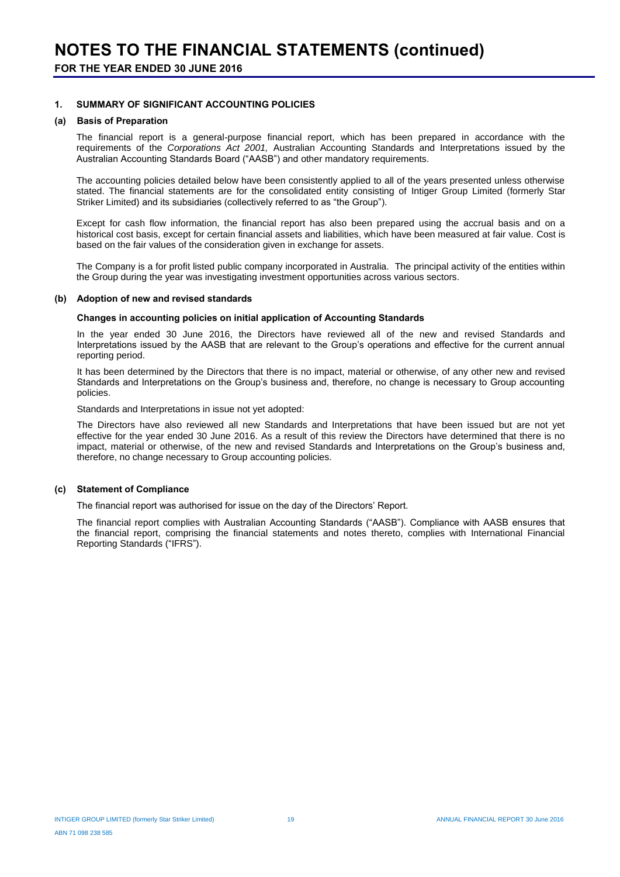#### **1. SUMMARY OF SIGNIFICANT ACCOUNTING POLICIES**

## **(a) Basis of Preparation**

The financial report is a general-purpose financial report, which has been prepared in accordance with the requirements of the *Corporations Act 2001,* Australian Accounting Standards and Interpretations issued by the Australian Accounting Standards Board ("AASB") and other mandatory requirements.

The accounting policies detailed below have been consistently applied to all of the years presented unless otherwise stated. The financial statements are for the consolidated entity consisting of Intiger Group Limited (formerly Star Striker Limited) and its subsidiaries (collectively referred to as "the Group").

Except for cash flow information, the financial report has also been prepared using the accrual basis and on a historical cost basis, except for certain financial assets and liabilities, which have been measured at fair value. Cost is based on the fair values of the consideration given in exchange for assets.

The Company is a for profit listed public company incorporated in Australia. The principal activity of the entities within the Group during the year was investigating investment opportunities across various sectors.

#### **(b) Adoption of new and revised standards**

#### **Changes in accounting policies on initial application of Accounting Standards**

In the year ended 30 June 2016, the Directors have reviewed all of the new and revised Standards and Interpretations issued by the AASB that are relevant to the Group's operations and effective for the current annual reporting period.

It has been determined by the Directors that there is no impact, material or otherwise, of any other new and revised Standards and Interpretations on the Group's business and, therefore, no change is necessary to Group accounting policies.

Standards and Interpretations in issue not yet adopted:

The Directors have also reviewed all new Standards and Interpretations that have been issued but are not yet effective for the year ended 30 June 2016. As a result of this review the Directors have determined that there is no impact, material or otherwise, of the new and revised Standards and Interpretations on the Group's business and, therefore, no change necessary to Group accounting policies.

#### **(c) Statement of Compliance**

The financial report was authorised for issue on the day of the Directors' Report.

The financial report complies with Australian Accounting Standards ("AASB"). Compliance with AASB ensures that the financial report, comprising the financial statements and notes thereto, complies with International Financial Reporting Standards ("IFRS").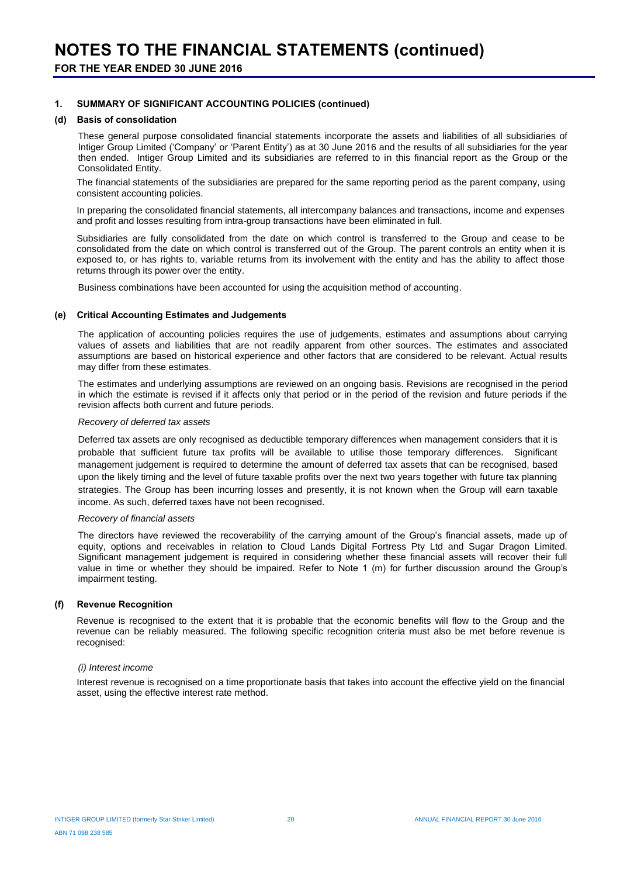#### **1. SUMMARY OF SIGNIFICANT ACCOUNTING POLICIES (continued)**

#### **(d) Basis of consolidation**

These general purpose consolidated financial statements incorporate the assets and liabilities of all subsidiaries of Intiger Group Limited ('Company' or 'Parent Entity') as at 30 June 2016 and the results of all subsidiaries for the year then ended. Intiger Group Limited and its subsidiaries are referred to in this financial report as the Group or the Consolidated Entity.

The financial statements of the subsidiaries are prepared for the same reporting period as the parent company, using consistent accounting policies.

In preparing the consolidated financial statements, all intercompany balances and transactions, income and expenses and profit and losses resulting from intra-group transactions have been eliminated in full.

Subsidiaries are fully consolidated from the date on which control is transferred to the Group and cease to be consolidated from the date on which control is transferred out of the Group. The parent controls an entity when it is exposed to, or has rights to, variable returns from its involvement with the entity and has the ability to affect those returns through its power over the entity.

Business combinations have been accounted for using the acquisition method of accounting.

#### **(e) Critical Accounting Estimates and Judgements**

The application of accounting policies requires the use of judgements, estimates and assumptions about carrying values of assets and liabilities that are not readily apparent from other sources. The estimates and associated assumptions are based on historical experience and other factors that are considered to be relevant. Actual results may differ from these estimates.

The estimates and underlying assumptions are reviewed on an ongoing basis. Revisions are recognised in the period in which the estimate is revised if it affects only that period or in the period of the revision and future periods if the revision affects both current and future periods.

#### *Recovery of deferred tax assets*

Deferred tax assets are only recognised as deductible temporary differences when management considers that it is probable that sufficient future tax profits will be available to utilise those temporary differences. Significant management judgement is required to determine the amount of deferred tax assets that can be recognised, based upon the likely timing and the level of future taxable profits over the next two years together with future tax planning strategies. The Group has been incurring losses and presently, it is not known when the Group will earn taxable income. As such, deferred taxes have not been recognised.

#### *Recovery of financial assets*

The directors have reviewed the recoverability of the carrying amount of the Group's financial assets, made up of equity, options and receivables in relation to Cloud Lands Digital Fortress Pty Ltd and Sugar Dragon Limited. Significant management judgement is required in considering whether these financial assets will recover their full value in time or whether they should be impaired. Refer to Note 1 (m) for further discussion around the Group's impairment testing.

#### **(f) Revenue Recognition**

Revenue is recognised to the extent that it is probable that the economic benefits will flow to the Group and the revenue can be reliably measured. The following specific recognition criteria must also be met before revenue is recognised:

#### *(i) Interest income*

Interest revenue is recognised on a time proportionate basis that takes into account the effective yield on the financial asset, using the effective interest rate method.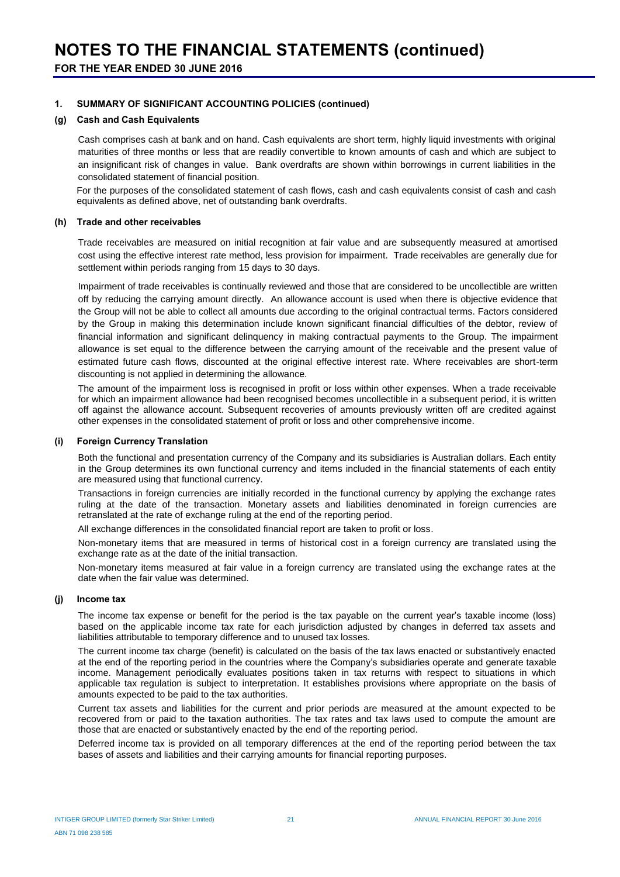#### **1. SUMMARY OF SIGNIFICANT ACCOUNTING POLICIES (continued)**

#### **(g) Cash and Cash Equivalents**

Cash comprises cash at bank and on hand. Cash equivalents are short term, highly liquid investments with original maturities of three months or less that are readily convertible to known amounts of cash and which are subject to an insignificant risk of changes in value. Bank overdrafts are shown within borrowings in current liabilities in the consolidated statement of financial position.

For the purposes of the consolidated statement of cash flows, cash and cash equivalents consist of cash and cash equivalents as defined above, net of outstanding bank overdrafts.

#### **(h) Trade and other receivables**

Trade receivables are measured on initial recognition at fair value and are subsequently measured at amortised cost using the effective interest rate method, less provision for impairment. Trade receivables are generally due for settlement within periods ranging from 15 days to 30 days.

Impairment of trade receivables is continually reviewed and those that are considered to be uncollectible are written off by reducing the carrying amount directly. An allowance account is used when there is objective evidence that the Group will not be able to collect all amounts due according to the original contractual terms. Factors considered by the Group in making this determination include known significant financial difficulties of the debtor, review of financial information and significant delinquency in making contractual payments to the Group. The impairment allowance is set equal to the difference between the carrying amount of the receivable and the present value of estimated future cash flows, discounted at the original effective interest rate. Where receivables are short-term discounting is not applied in determining the allowance.

The amount of the impairment loss is recognised in profit or loss within other expenses. When a trade receivable for which an impairment allowance had been recognised becomes uncollectible in a subsequent period, it is written off against the allowance account. Subsequent recoveries of amounts previously written off are credited against other expenses in the consolidated statement of profit or loss and other comprehensive income.

#### **(i) Foreign Currency Translation**

Both the functional and presentation currency of the Company and its subsidiaries is Australian dollars. Each entity in the Group determines its own functional currency and items included in the financial statements of each entity are measured using that functional currency.

Transactions in foreign currencies are initially recorded in the functional currency by applying the exchange rates ruling at the date of the transaction. Monetary assets and liabilities denominated in foreign currencies are retranslated at the rate of exchange ruling at the end of the reporting period.

All exchange differences in the consolidated financial report are taken to profit or loss.

Non-monetary items that are measured in terms of historical cost in a foreign currency are translated using the exchange rate as at the date of the initial transaction.

Non-monetary items measured at fair value in a foreign currency are translated using the exchange rates at the date when the fair value was determined.

#### **(j) Income tax**

The income tax expense or benefit for the period is the tax payable on the current year's taxable income (loss) based on the applicable income tax rate for each jurisdiction adjusted by changes in deferred tax assets and liabilities attributable to temporary difference and to unused tax losses.

The current income tax charge (benefit) is calculated on the basis of the tax laws enacted or substantively enacted at the end of the reporting period in the countries where the Company's subsidiaries operate and generate taxable income. Management periodically evaluates positions taken in tax returns with respect to situations in which applicable tax regulation is subject to interpretation. It establishes provisions where appropriate on the basis of amounts expected to be paid to the tax authorities.

Current tax assets and liabilities for the current and prior periods are measured at the amount expected to be recovered from or paid to the taxation authorities. The tax rates and tax laws used to compute the amount are those that are enacted or substantively enacted by the end of the reporting period.

Deferred income tax is provided on all temporary differences at the end of the reporting period between the tax bases of assets and liabilities and their carrying amounts for financial reporting purposes.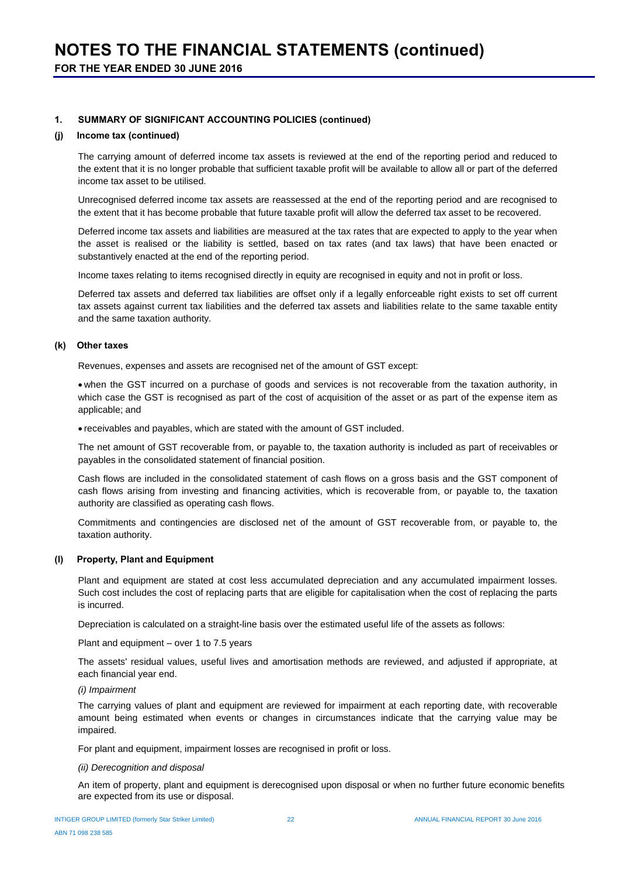#### **1. SUMMARY OF SIGNIFICANT ACCOUNTING POLICIES (continued)**

#### **(j) Income tax (continued)**

The carrying amount of deferred income tax assets is reviewed at the end of the reporting period and reduced to the extent that it is no longer probable that sufficient taxable profit will be available to allow all or part of the deferred income tax asset to be utilised.

Unrecognised deferred income tax assets are reassessed at the end of the reporting period and are recognised to the extent that it has become probable that future taxable profit will allow the deferred tax asset to be recovered.

Deferred income tax assets and liabilities are measured at the tax rates that are expected to apply to the year when the asset is realised or the liability is settled, based on tax rates (and tax laws) that have been enacted or substantively enacted at the end of the reporting period.

Income taxes relating to items recognised directly in equity are recognised in equity and not in profit or loss.

Deferred tax assets and deferred tax liabilities are offset only if a legally enforceable right exists to set off current tax assets against current tax liabilities and the deferred tax assets and liabilities relate to the same taxable entity and the same taxation authority.

#### **(k) Other taxes**

Revenues, expenses and assets are recognised net of the amount of GST except:

 when the GST incurred on a purchase of goods and services is not recoverable from the taxation authority, in which case the GST is recognised as part of the cost of acquisition of the asset or as part of the expense item as applicable; and

receivables and payables, which are stated with the amount of GST included.

The net amount of GST recoverable from, or payable to, the taxation authority is included as part of receivables or payables in the consolidated statement of financial position.

Cash flows are included in the consolidated statement of cash flows on a gross basis and the GST component of cash flows arising from investing and financing activities, which is recoverable from, or payable to, the taxation authority are classified as operating cash flows.

Commitments and contingencies are disclosed net of the amount of GST recoverable from, or payable to, the taxation authority.

#### **(l) Property, Plant and Equipment**

Plant and equipment are stated at cost less accumulated depreciation and any accumulated impairment losses. Such cost includes the cost of replacing parts that are eligible for capitalisation when the cost of replacing the parts is incurred.

Depreciation is calculated on a straight-line basis over the estimated useful life of the assets as follows:

Plant and equipment – over 1 to 7.5 years

The assets' residual values, useful lives and amortisation methods are reviewed, and adjusted if appropriate, at each financial year end.

#### *(i) Impairment*

The carrying values of plant and equipment are reviewed for impairment at each reporting date, with recoverable amount being estimated when events or changes in circumstances indicate that the carrying value may be impaired.

For plant and equipment, impairment losses are recognised in profit or loss.

#### *(ii) Derecognition and disposal*

An item of property, plant and equipment is derecognised upon disposal or when no further future economic benefits are expected from its use or disposal.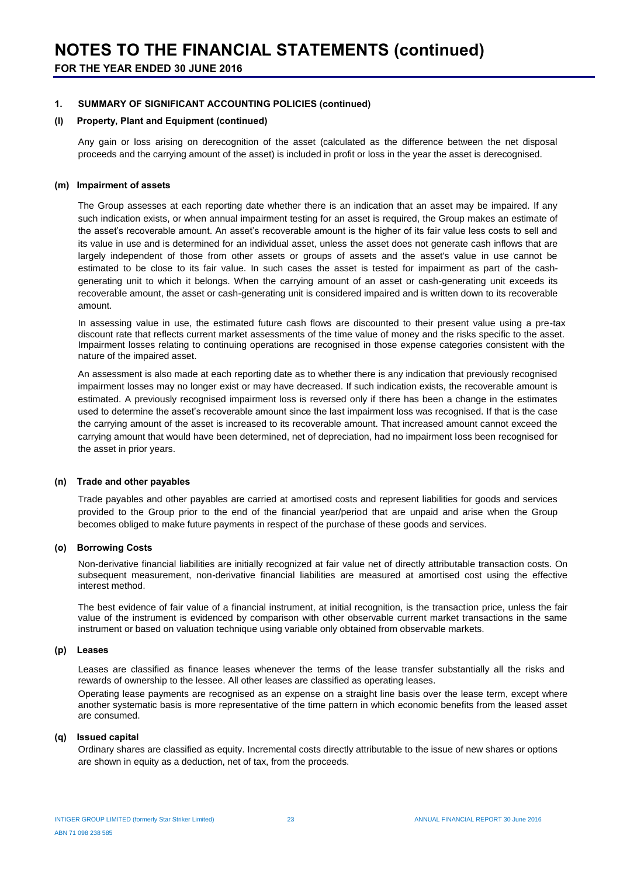#### **1. SUMMARY OF SIGNIFICANT ACCOUNTING POLICIES (continued)**

#### **(l) Property, Plant and Equipment (continued)**

Any gain or loss arising on derecognition of the asset (calculated as the difference between the net disposal proceeds and the carrying amount of the asset) is included in profit or loss in the year the asset is derecognised.

#### **(m) Impairment of assets**

The Group assesses at each reporting date whether there is an indication that an asset may be impaired. If any such indication exists, or when annual impairment testing for an asset is required, the Group makes an estimate of the asset's recoverable amount. An asset's recoverable amount is the higher of its fair value less costs to sell and its value in use and is determined for an individual asset, unless the asset does not generate cash inflows that are largely independent of those from other assets or groups of assets and the asset's value in use cannot be estimated to be close to its fair value. In such cases the asset is tested for impairment as part of the cashgenerating unit to which it belongs. When the carrying amount of an asset or cash-generating unit exceeds its recoverable amount, the asset or cash-generating unit is considered impaired and is written down to its recoverable amount.

In assessing value in use, the estimated future cash flows are discounted to their present value using a pre-tax discount rate that reflects current market assessments of the time value of money and the risks specific to the asset. Impairment losses relating to continuing operations are recognised in those expense categories consistent with the nature of the impaired asset.

An assessment is also made at each reporting date as to whether there is any indication that previously recognised impairment losses may no longer exist or may have decreased. If such indication exists, the recoverable amount is estimated. A previously recognised impairment loss is reversed only if there has been a change in the estimates used to determine the asset's recoverable amount since the last impairment loss was recognised. If that is the case the carrying amount of the asset is increased to its recoverable amount. That increased amount cannot exceed the carrying amount that would have been determined, net of depreciation, had no impairment loss been recognised for the asset in prior years.

#### **(n) Trade and other payables**

Trade payables and other payables are carried at amortised costs and represent liabilities for goods and services provided to the Group prior to the end of the financial year/period that are unpaid and arise when the Group becomes obliged to make future payments in respect of the purchase of these goods and services.

#### **(o) Borrowing Costs**

Non-derivative financial liabilities are initially recognized at fair value net of directly attributable transaction costs. On subsequent measurement, non-derivative financial liabilities are measured at amortised cost using the effective interest method.

The best evidence of fair value of a financial instrument, at initial recognition, is the transaction price, unless the fair value of the instrument is evidenced by comparison with other observable current market transactions in the same instrument or based on valuation technique using variable only obtained from observable markets.

#### **(p) Leases**

Leases are classified as finance leases whenever the terms of the lease transfer substantially all the risks and rewards of ownership to the lessee. All other leases are classified as operating leases.

Operating lease payments are recognised as an expense on a straight line basis over the lease term, except where another systematic basis is more representative of the time pattern in which economic benefits from the leased asset are consumed.

#### **(q) Issued capital**

Ordinary shares are classified as equity. Incremental costs directly attributable to the issue of new shares or options are shown in equity as a deduction, net of tax, from the proceeds.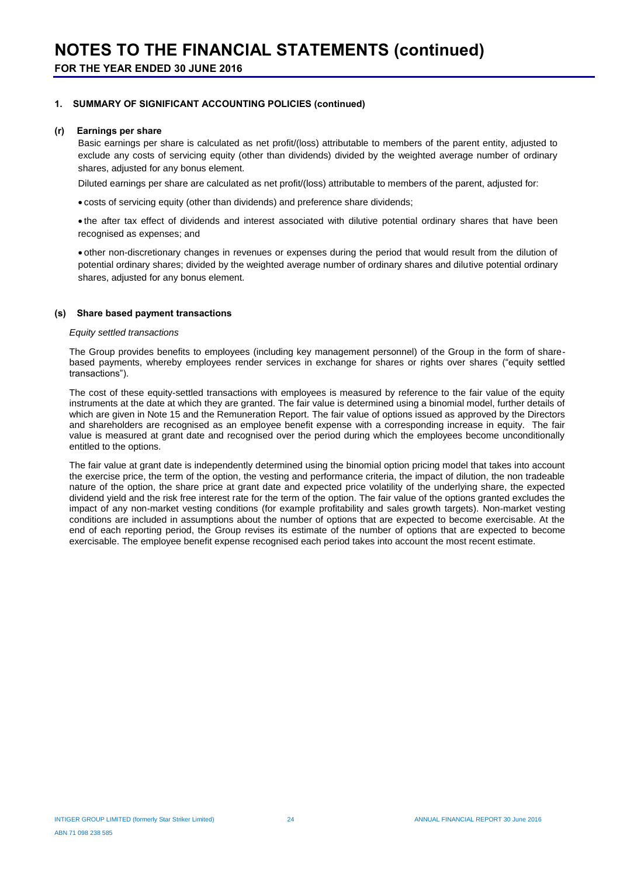#### **1. SUMMARY OF SIGNIFICANT ACCOUNTING POLICIES (continued)**

#### **(r) Earnings per share**

Basic earnings per share is calculated as net profit/(loss) attributable to members of the parent entity, adjusted to exclude any costs of servicing equity (other than dividends) divided by the weighted average number of ordinary shares, adjusted for any bonus element.

Diluted earnings per share are calculated as net profit/(loss) attributable to members of the parent, adjusted for:

costs of servicing equity (other than dividends) and preference share dividends;

• the after tax effect of dividends and interest associated with dilutive potential ordinary shares that have been recognised as expenses; and

 other non-discretionary changes in revenues or expenses during the period that would result from the dilution of potential ordinary shares; divided by the weighted average number of ordinary shares and dilutive potential ordinary shares, adjusted for any bonus element.

#### **(s) Share based payment transactions**

#### *Equity settled transactions*

The Group provides benefits to employees (including key management personnel) of the Group in the form of sharebased payments, whereby employees render services in exchange for shares or rights over shares ("equity settled transactions").

The cost of these equity-settled transactions with employees is measured by reference to the fair value of the equity instruments at the date at which they are granted. The fair value is determined using a binomial model, further details of which are given in Note 15 and the Remuneration Report. The fair value of options issued as approved by the Directors and shareholders are recognised as an employee benefit expense with a corresponding increase in equity. The fair value is measured at grant date and recognised over the period during which the employees become unconditionally entitled to the options.

The fair value at grant date is independently determined using the binomial option pricing model that takes into account the exercise price, the term of the option, the vesting and performance criteria, the impact of dilution, the non tradeable nature of the option, the share price at grant date and expected price volatility of the underlying share, the expected dividend yield and the risk free interest rate for the term of the option. The fair value of the options granted excludes the impact of any non-market vesting conditions (for example profitability and sales growth targets). Non-market vesting conditions are included in assumptions about the number of options that are expected to become exercisable. At the end of each reporting period, the Group revises its estimate of the number of options that are expected to become exercisable. The employee benefit expense recognised each period takes into account the most recent estimate.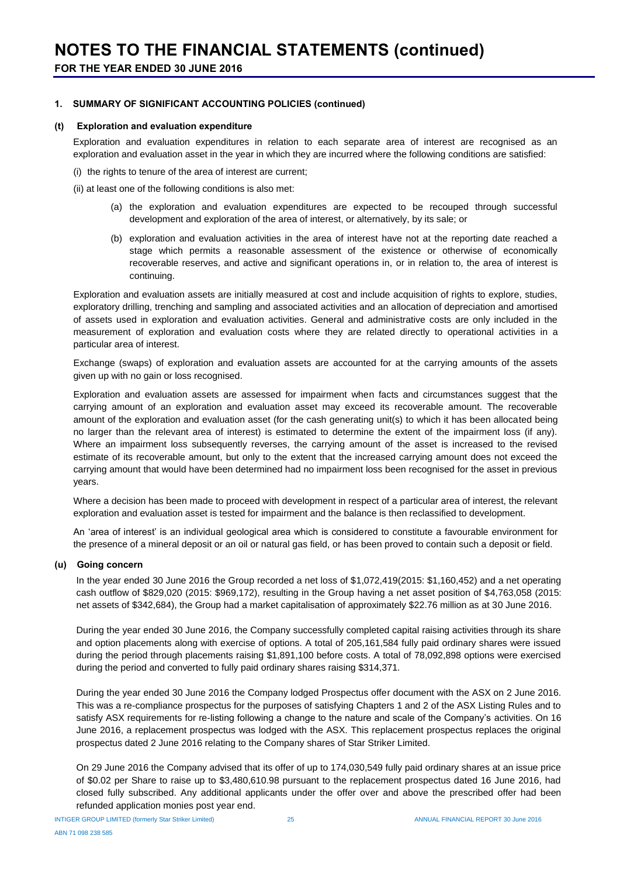#### **1. SUMMARY OF SIGNIFICANT ACCOUNTING POLICIES (continued)**

#### **(t) Exploration and evaluation expenditure**

Exploration and evaluation expenditures in relation to each separate area of interest are recognised as an exploration and evaluation asset in the year in which they are incurred where the following conditions are satisfied:

- (i) the rights to tenure of the area of interest are current;
- (ii) at least one of the following conditions is also met:
	- (a) the exploration and evaluation expenditures are expected to be recouped through successful development and exploration of the area of interest, or alternatively, by its sale; or
	- (b) exploration and evaluation activities in the area of interest have not at the reporting date reached a stage which permits a reasonable assessment of the existence or otherwise of economically recoverable reserves, and active and significant operations in, or in relation to, the area of interest is continuing.

Exploration and evaluation assets are initially measured at cost and include acquisition of rights to explore, studies, exploratory drilling, trenching and sampling and associated activities and an allocation of depreciation and amortised of assets used in exploration and evaluation activities. General and administrative costs are only included in the measurement of exploration and evaluation costs where they are related directly to operational activities in a particular area of interest.

Exchange (swaps) of exploration and evaluation assets are accounted for at the carrying amounts of the assets given up with no gain or loss recognised.

Exploration and evaluation assets are assessed for impairment when facts and circumstances suggest that the carrying amount of an exploration and evaluation asset may exceed its recoverable amount. The recoverable amount of the exploration and evaluation asset (for the cash generating unit(s) to which it has been allocated being no larger than the relevant area of interest) is estimated to determine the extent of the impairment loss (if any). Where an impairment loss subsequently reverses, the carrying amount of the asset is increased to the revised estimate of its recoverable amount, but only to the extent that the increased carrying amount does not exceed the carrying amount that would have been determined had no impairment loss been recognised for the asset in previous years.

Where a decision has been made to proceed with development in respect of a particular area of interest, the relevant exploration and evaluation asset is tested for impairment and the balance is then reclassified to development.

An 'area of interest' is an individual geological area which is considered to constitute a favourable environment for the presence of a mineral deposit or an oil or natural gas field, or has been proved to contain such a deposit or field.

#### **(u) Going concern**

In the year ended 30 June 2016 the Group recorded a net loss of \$1,072,419(2015: \$1,160,452) and a net operating cash outflow of \$829,020 (2015: \$969,172), resulting in the Group having a net asset position of \$4,763,058 (2015: net assets of \$342,684), the Group had a market capitalisation of approximately \$22.76 million as at 30 June 2016.

During the year ended 30 June 2016, the Company successfully completed capital raising activities through its share and option placements along with exercise of options. A total of 205,161,584 fully paid ordinary shares were issued during the period through placements raising \$1,891,100 before costs. A total of 78,092,898 options were exercised during the period and converted to fully paid ordinary shares raising \$314,371.

During the year ended 30 June 2016 the Company lodged Prospectus offer document with the ASX on 2 June 2016. This was a re-compliance prospectus for the purposes of satisfying Chapters 1 and 2 of the ASX Listing Rules and to satisfy ASX requirements for re-listing following a change to the nature and scale of the Company's activities. On 16 June 2016, a replacement prospectus was lodged with the ASX. This replacement prospectus replaces the original prospectus dated 2 June 2016 relating to the Company shares of Star Striker Limited.

On 29 June 2016 the Company advised that its offer of up to 174,030,549 fully paid ordinary shares at an issue price of \$0.02 per Share to raise up to \$3,480,610.98 pursuant to the replacement prospectus dated 16 June 2016, had closed fully subscribed. Any additional applicants under the offer over and above the prescribed offer had been refunded application monies post year end.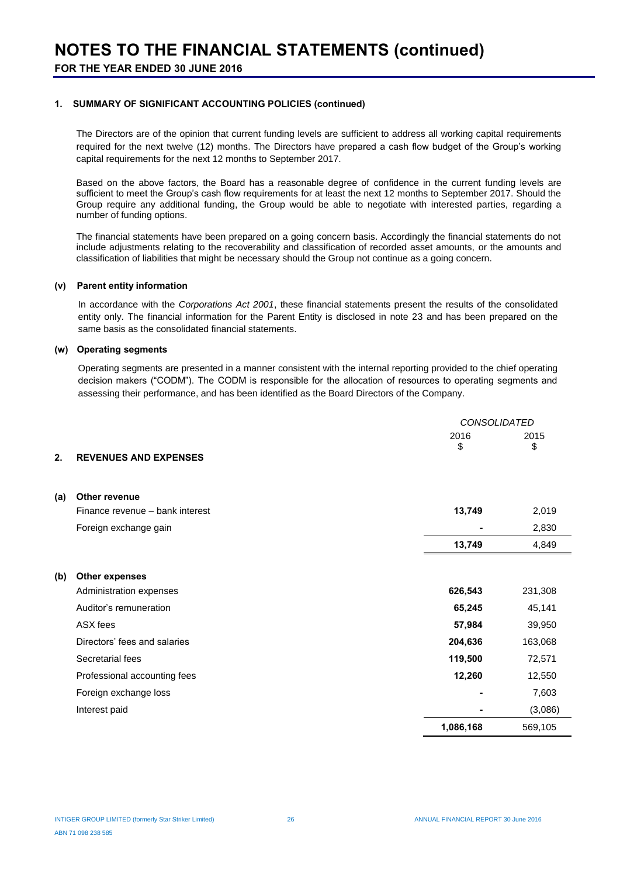#### **1. SUMMARY OF SIGNIFICANT ACCOUNTING POLICIES (continued)**

The Directors are of the opinion that current funding levels are sufficient to address all working capital requirements required for the next twelve (12) months. The Directors have prepared a cash flow budget of the Group's working capital requirements for the next 12 months to September 2017.

Based on the above factors, the Board has a reasonable degree of confidence in the current funding levels are sufficient to meet the Group's cash flow requirements for at least the next 12 months to September 2017. Should the Group require any additional funding, the Group would be able to negotiate with interested parties, regarding a number of funding options.

The financial statements have been prepared on a going concern basis. Accordingly the financial statements do not include adjustments relating to the recoverability and classification of recorded asset amounts, or the amounts and classification of liabilities that might be necessary should the Group not continue as a going concern.

#### **(v) Parent entity information**

In accordance with the *Corporations Act 2001*, these financial statements present the results of the consolidated entity only. The financial information for the Parent Entity is disclosed in note 23 and has been prepared on the same basis as the consolidated financial statements.

#### **(w) Operating segments**

Operating segments are presented in a manner consistent with the internal reporting provided to the chief operating decision makers ("CODM"). The CODM is responsible for the allocation of resources to operating segments and assessing their performance, and has been identified as the Board Directors of the Company.

|     |                                 | <b>CONSOLIDATED</b> |         |
|-----|---------------------------------|---------------------|---------|
|     |                                 | 2016                | 2015    |
| 2.  | <b>REVENUES AND EXPENSES</b>    | \$                  | \$      |
|     |                                 |                     |         |
|     |                                 |                     |         |
| (a) | <b>Other revenue</b>            |                     |         |
|     | Finance revenue - bank interest | 13,749              | 2,019   |
|     | Foreign exchange gain           |                     | 2,830   |
|     |                                 | 13,749              | 4,849   |
|     |                                 |                     |         |
| (b) | <b>Other expenses</b>           |                     |         |
|     | Administration expenses         | 626,543             | 231,308 |
|     | Auditor's remuneration          | 65,245              | 45,141  |
|     | ASX fees                        | 57,984              | 39,950  |
|     | Directors' fees and salaries    | 204,636             | 163,068 |
|     | Secretarial fees                | 119,500             | 72,571  |
|     | Professional accounting fees    | 12,260              | 12,550  |
|     | Foreign exchange loss           |                     | 7,603   |
|     | Interest paid                   |                     | (3,086) |
|     |                                 | 1,086,168           | 569,105 |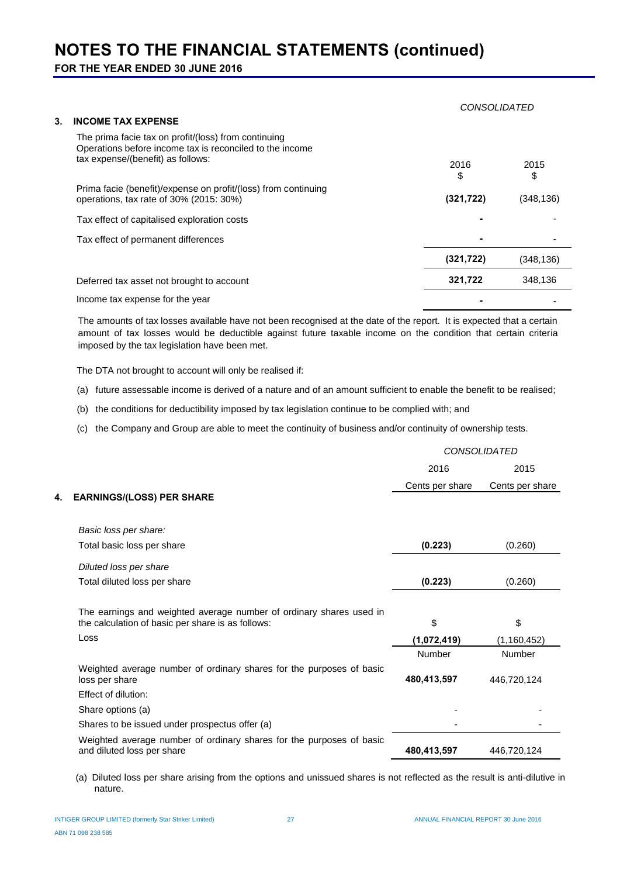**FOR THE YEAR ENDED 30 JUNE 2016**

|                                                                                                                                                       | <i>CONSOLIDATED</i> |            |
|-------------------------------------------------------------------------------------------------------------------------------------------------------|---------------------|------------|
| 3.<br><b>INCOME TAX EXPENSE</b>                                                                                                                       |                     |            |
| The prima facie tax on profit/(loss) from continuing<br>Operations before income tax is reconciled to the income<br>tax expense/(benefit) as follows: | 2016<br>\$          | 2015<br>\$ |
| Prima facie (benefit)/expense on profit/(loss) from continuing<br>operations, tax rate of 30% (2015: 30%)                                             | (321, 722)          | (348, 136) |
| Tax effect of capitalised exploration costs                                                                                                           |                     |            |
| Tax effect of permanent differences                                                                                                                   |                     |            |
|                                                                                                                                                       | (321, 722)          | (348, 136) |
| Deferred tax asset not brought to account                                                                                                             | 321,722             | 348,136    |
| Income tax expense for the year                                                                                                                       |                     |            |

The amounts of tax losses available have not been recognised at the date of the report. It is expected that a certain amount of tax losses would be deductible against future taxable income on the condition that certain criteria imposed by the tax legislation have been met.

The DTA not brought to account will only be realised if:

(a) future assessable income is derived of a nature and of an amount sufficient to enable the benefit to be realised;

(b) the conditions for deductibility imposed by tax legislation continue to be complied with; and

(c) the Company and Group are able to meet the continuity of business and/or continuity of ownership tests.

|    |                                                                                                                          | <b>CONSOLIDATED</b> |                 |
|----|--------------------------------------------------------------------------------------------------------------------------|---------------------|-----------------|
|    |                                                                                                                          | 2016                | 2015            |
|    |                                                                                                                          | Cents per share     | Cents per share |
| 4. | <b>EARNINGS/(LOSS) PER SHARE</b>                                                                                         |                     |                 |
|    |                                                                                                                          |                     |                 |
|    | Basic loss per share:                                                                                                    |                     |                 |
|    | Total basic loss per share                                                                                               | (0.223)             | (0.260)         |
|    | Diluted loss per share                                                                                                   |                     |                 |
|    | Total diluted loss per share                                                                                             | (0.223)             | (0.260)         |
|    |                                                                                                                          |                     |                 |
|    | The earnings and weighted average number of ordinary shares used in<br>the calculation of basic per share is as follows: | \$                  | \$              |
|    | Loss                                                                                                                     | (1,072,419)         | (1, 160, 452)   |
|    |                                                                                                                          | Number              | Number          |
|    | Weighted average number of ordinary shares for the purposes of basic<br>loss per share                                   | 480,413,597         | 446,720,124     |
|    | Effect of dilution:                                                                                                      |                     |                 |
|    | Share options (a)                                                                                                        |                     |                 |
|    | Shares to be issued under prospectus offer (a)                                                                           |                     |                 |
|    | Weighted average number of ordinary shares for the purposes of basic<br>and diluted loss per share                       | 480,413,597         | 446,720,124     |
|    |                                                                                                                          |                     |                 |

(a) Diluted loss per share arising from the options and unissued shares is not reflected as the result is anti-dilutive in nature.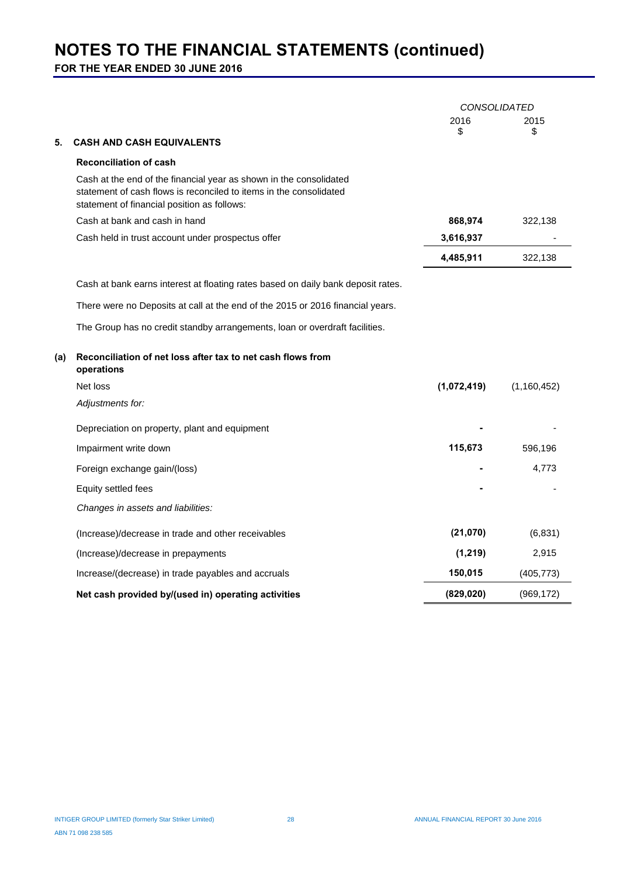**FOR THE YEAR ENDED 30 JUNE 2016**

|     |                                                                                                                                                                                         | <b>CONSOLIDATED</b> |               |
|-----|-----------------------------------------------------------------------------------------------------------------------------------------------------------------------------------------|---------------------|---------------|
|     |                                                                                                                                                                                         | 2016<br>\$          | 2015<br>\$    |
| 5.  | <b>CASH AND CASH EQUIVALENTS</b>                                                                                                                                                        |                     |               |
|     | <b>Reconciliation of cash</b>                                                                                                                                                           |                     |               |
|     | Cash at the end of the financial year as shown in the consolidated<br>statement of cash flows is reconciled to items in the consolidated<br>statement of financial position as follows: |                     |               |
|     | Cash at bank and cash in hand                                                                                                                                                           | 868,974             | 322,138       |
|     | Cash held in trust account under prospectus offer                                                                                                                                       | 3,616,937           |               |
|     |                                                                                                                                                                                         | 4,485,911           | 322,138       |
|     | Cash at bank earns interest at floating rates based on daily bank deposit rates.                                                                                                        |                     |               |
|     | There were no Deposits at call at the end of the 2015 or 2016 financial years.                                                                                                          |                     |               |
|     | The Group has no credit standby arrangements, loan or overdraft facilities.                                                                                                             |                     |               |
| (a) | Reconciliation of net loss after tax to net cash flows from<br>operations                                                                                                               |                     |               |
|     | Net loss                                                                                                                                                                                | (1,072,419)         | (1, 160, 452) |
|     | Adjustments for:                                                                                                                                                                        |                     |               |
|     | Depreciation on property, plant and equipment                                                                                                                                           |                     |               |
|     | Impairment write down                                                                                                                                                                   | 115,673             | 596,196       |
|     | Foreign exchange gain/(loss)                                                                                                                                                            |                     | 4,773         |
|     | Equity settled fees                                                                                                                                                                     |                     |               |
|     | Changes in assets and liabilities:                                                                                                                                                      |                     |               |
|     | (Increase)/decrease in trade and other receivables                                                                                                                                      | (21,070)            | (6,831)       |
|     | (Increase)/decrease in prepayments                                                                                                                                                      | (1, 219)            | 2,915         |
|     | Increase/(decrease) in trade payables and accruals                                                                                                                                      | 150,015             | (405, 773)    |
|     | Net cash provided by/(used in) operating activities                                                                                                                                     | (829, 020)          | (969, 172)    |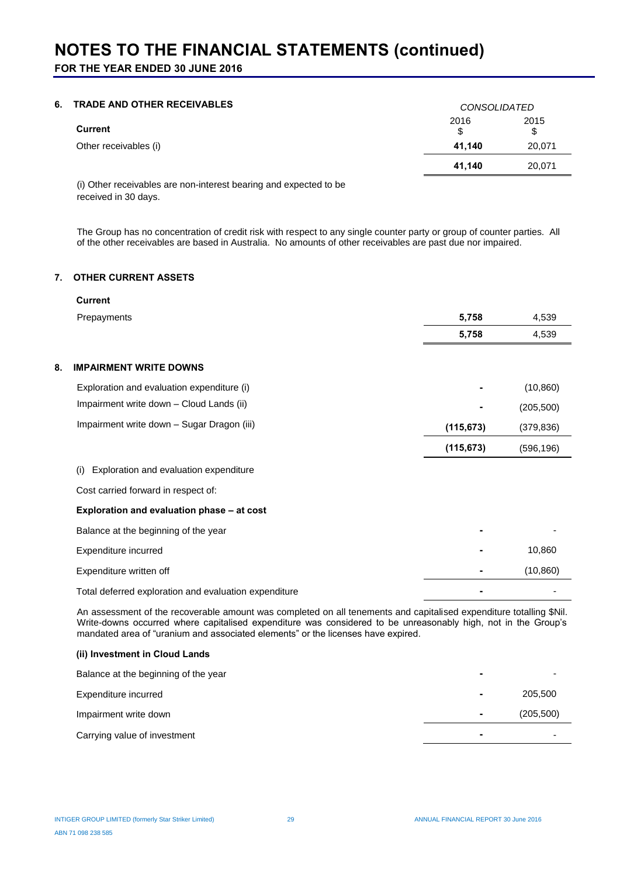**FOR THE YEAR ENDED 30 JUNE 2016**

## **6. TRADE AND OTHER RECEIVABLES** *CONSOLIDATED*

|                       | <b>CUNSULIDATED</b> |            |
|-----------------------|---------------------|------------|
| Current               | 2016<br>\$          | 2015<br>\$ |
| Other receivables (i) | 41.140              | 20,071     |
|                       | 41.140              | 20,071     |

(i) Other receivables are non-interest bearing and expected to be received in 30 days.

The Group has no concentration of credit risk with respect to any single counter party or group of counter parties. All of the other receivables are based in Australia. No amounts of other receivables are past due nor impaired.

#### **7. OTHER CURRENT ASSETS**

| <b>Current</b>                                        |            |            |
|-------------------------------------------------------|------------|------------|
| Prepayments                                           | 5,758      | 4,539      |
|                                                       | 5,758      | 4,539      |
|                                                       |            |            |
| <b>IMPAIRMENT WRITE DOWNS</b><br>8.                   |            |            |
| Exploration and evaluation expenditure (i)            |            | (10, 860)  |
| Impairment write down - Cloud Lands (ii)              |            | (205, 500) |
| Impairment write down - Sugar Dragon (iii)            | (115, 673) | (379, 836) |
|                                                       | (115, 673) | (596, 196) |
| Exploration and evaluation expenditure<br>(i)         |            |            |
| Cost carried forward in respect of:                   |            |            |
| Exploration and evaluation phase - at cost            |            |            |
| Balance at the beginning of the year                  |            |            |
| Expenditure incurred                                  |            | 10,860     |
| Expenditure written off                               |            | (10, 860)  |
| Total deferred exploration and evaluation expenditure |            |            |

An assessment of the recoverable amount was completed on all tenements and capitalised expenditure totalling \$Nil. Write-downs occurred where capitalised expenditure was considered to be unreasonably high, not in the Group's mandated area of "uranium and associated elements" or the licenses have expired.

#### **(ii) Investment in Cloud Lands**

| Balance at the beginning of the year | ۰ |            |
|--------------------------------------|---|------------|
| Expenditure incurred                 |   | 205,500    |
| Impairment write down                | ۰ | (205, 500) |
| Carrying value of investment         | - |            |
|                                      |   |            |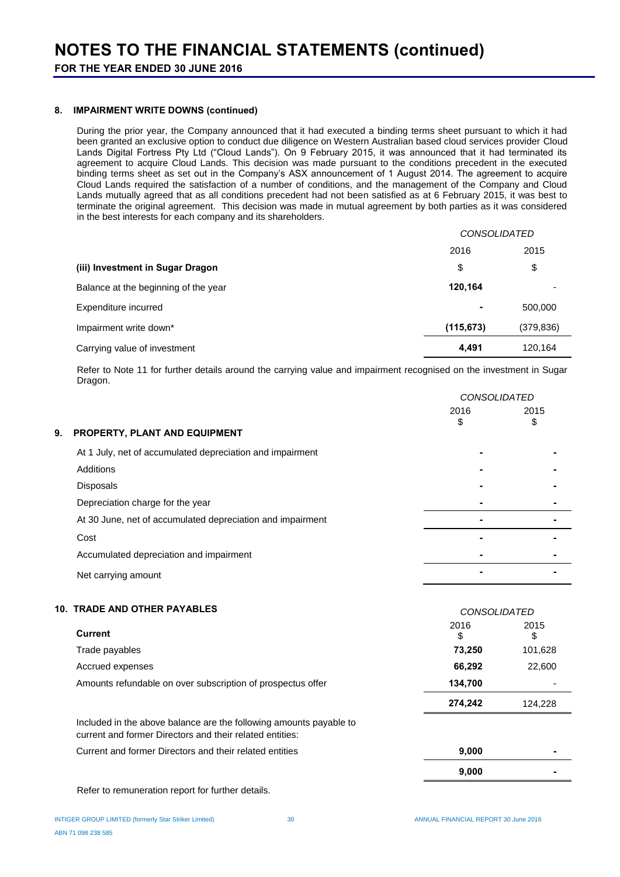#### **8. IMPAIRMENT WRITE DOWNS (continued)**

During the prior year, the Company announced that it had executed a binding terms sheet pursuant to which it had been granted an exclusive option to conduct due diligence on Western Australian based cloud services provider Cloud Lands Digital Fortress Pty Ltd ("Cloud Lands"). On 9 February 2015, it was announced that it had terminated its agreement to acquire Cloud Lands. This decision was made pursuant to the conditions precedent in the executed binding terms sheet as set out in the Company's ASX announcement of 1 August 2014. The agreement to acquire Cloud Lands required the satisfaction of a number of conditions, and the management of the Company and Cloud Lands mutually agreed that as all conditions precedent had not been satisfied as at 6 February 2015, it was best to terminate the original agreement. This decision was made in mutual agreement by both parties as it was considered in the best interests for each company and its shareholders.

|                                      | <b>CONSOLIDATED</b> |            |
|--------------------------------------|---------------------|------------|
|                                      | 2016                | 2015       |
| (iii) Investment in Sugar Dragon     | \$                  | \$         |
| Balance at the beginning of the year | 120,164             |            |
| Expenditure incurred                 | ۰                   | 500,000    |
| Impairment write down*               | (115, 673)          | (379, 836) |
| Carrying value of investment         | 4.491               | 120,164    |

Refer to Note 11 for further details around the carrying value and impairment recognised on the investment in Sugar Dragon.

|    |                                                            | <i>CONSOLIDATED</i> |            |  |
|----|------------------------------------------------------------|---------------------|------------|--|
| 9. | PROPERTY, PLANT AND EQUIPMENT                              | 2016<br>S           | 2015<br>\$ |  |
|    | At 1 July, net of accumulated depreciation and impairment  |                     |            |  |
|    | Additions                                                  |                     |            |  |
|    | <b>Disposals</b>                                           |                     |            |  |
|    | Depreciation charge for the year                           |                     |            |  |
|    | At 30 June, net of accumulated depreciation and impairment |                     |            |  |
|    | Cost                                                       |                     |            |  |
|    | Accumulated depreciation and impairment                    |                     |            |  |
|    | Net carrying amount                                        |                     |            |  |
|    |                                                            |                     |            |  |

### **10. TRADE AND OTHER PAYABLES** *CONSOLIDATED*

| <b>Current</b>                                              | 2016<br>\$ | 2015<br>\$               |
|-------------------------------------------------------------|------------|--------------------------|
| Trade payables                                              | 73,250     | 101,628                  |
| Accrued expenses                                            | 66,292     | 22,600                   |
| Amounts refundable on over subscription of prospectus offer | 134.700    | $\overline{\phantom{0}}$ |
|                                                             | 274.242    | 124.228                  |

Included in the above balance are the following amounts payable to current and former Directors and their related entities: Current and former Directors and their related entities **9,000 -**

Refer to remuneration report for further details.

**9,000 -**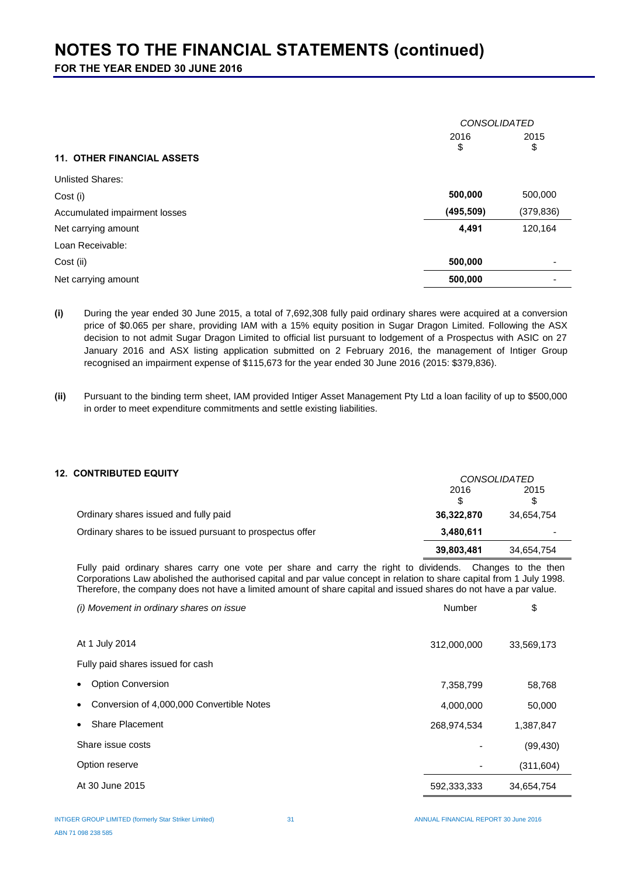**FOR THE YEAR ENDED 30 JUNE 2016**

|                                   | <b>CONSOLIDATED</b> |                          |
|-----------------------------------|---------------------|--------------------------|
|                                   | 2016<br>2015<br>\$  |                          |
| <b>11. OTHER FINANCIAL ASSETS</b> |                     | \$                       |
| <b>Unlisted Shares:</b>           |                     |                          |
| Cost (i)                          | 500,000             | 500,000                  |
| Accumulated impairment losses     | (495, 509)          | (379, 836)               |
| Net carrying amount               | 4,491               | 120,164                  |
| Loan Receivable:                  |                     |                          |
| Cost (ii)                         | 500,000             | $\overline{\phantom{0}}$ |
| Net carrying amount               | 500,000             |                          |

**(i)** During the year ended 30 June 2015, a total of 7,692,308 fully paid ordinary shares were acquired at a conversion price of \$0.065 per share, providing IAM with a 15% equity position in Sugar Dragon Limited. Following the ASX decision to not admit Sugar Dragon Limited to official list pursuant to lodgement of a Prospectus with ASIC on 27 January 2016 and ASX listing application submitted on 2 February 2016, the management of Intiger Group recognised an impairment expense of \$115,673 for the year ended 30 June 2016 (2015: \$379,836).

**(ii)** Pursuant to the binding term sheet, IAM provided Intiger Asset Management Pty Ltd a loan facility of up to \$500,000 in order to meet expenditure commitments and settle existing liabilities.

#### **12. CONTRIBUTED EQUITY** *CONSOLIDATED*

|                                                           |            | <u>CUNSULIDATED</u> |
|-----------------------------------------------------------|------------|---------------------|
|                                                           | 2016       | 2015                |
|                                                           |            |                     |
| Ordinary shares issued and fully paid                     | 36,322,870 | 34,654,754          |
| Ordinary shares to be issued pursuant to prospectus offer | 3,480,611  |                     |
|                                                           | 39,803,481 | 34,654,754          |

Fully paid ordinary shares carry one vote per share and carry the right to dividends. Changes to the then Corporations Law abolished the authorised capital and par value concept in relation to share capital from 1 July 1998. Therefore, the company does not have a limited amount of share capital and issued shares do not have a par value.

| (i) Movement in ordinary shares on issue               | Number      | \$         |
|--------------------------------------------------------|-------------|------------|
|                                                        |             |            |
| At 1 July 2014                                         | 312,000,000 | 33,569,173 |
| Fully paid shares issued for cash                      |             |            |
| <b>Option Conversion</b><br>$\bullet$                  | 7,358,799   | 58,768     |
| Conversion of 4,000,000 Convertible Notes<br>$\bullet$ | 4,000,000   | 50,000     |
| <b>Share Placement</b>                                 | 268,974,534 | 1,387,847  |
| Share issue costs                                      |             | (99, 430)  |
| Option reserve                                         |             | (311, 604) |
| At 30 June 2015                                        | 592,333,333 | 34,654,754 |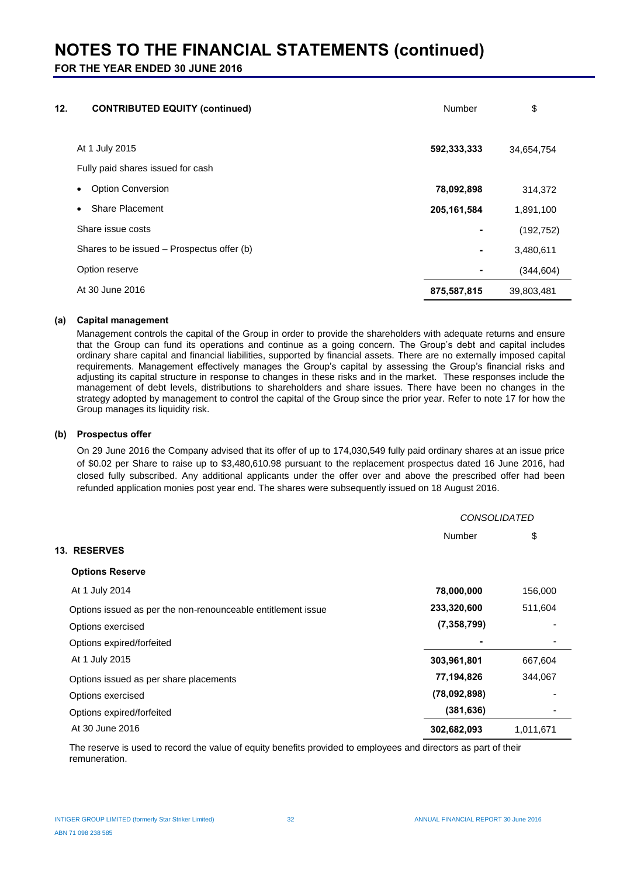**FOR THE YEAR ENDED 30 JUNE 2016**

| 12. | <b>CONTRIBUTED EQUITY (continued)</b>      | Number        | \$         |
|-----|--------------------------------------------|---------------|------------|
|     | At 1 July 2015                             | 592,333,333   | 34,654,754 |
|     | Fully paid shares issued for cash          |               |            |
|     | <b>Option Conversion</b><br>$\bullet$      | 78,092,898    | 314,372    |
|     | Share Placement<br>$\bullet$               | 205, 161, 584 | 1,891,100  |
|     | Share issue costs                          |               | (192, 752) |
|     | Shares to be issued – Prospectus offer (b) | ۰             | 3,480,611  |
|     | Option reserve                             |               | (344, 604) |
|     | At 30 June 2016                            | 875,587,815   | 39,803,481 |
|     |                                            |               |            |

#### **(a) Capital management**

Management controls the capital of the Group in order to provide the shareholders with adequate returns and ensure that the Group can fund its operations and continue as a going concern. The Group's debt and capital includes ordinary share capital and financial liabilities, supported by financial assets. There are no externally imposed capital requirements. Management effectively manages the Group's capital by assessing the Group's financial risks and adjusting its capital structure in response to changes in these risks and in the market. These responses include the management of debt levels, distributions to shareholders and share issues. There have been no changes in the strategy adopted by management to control the capital of the Group since the prior year. Refer to note 17 for how the Group manages its liquidity risk.

#### **(b) Prospectus offer**

On 29 June 2016 the Company advised that its offer of up to 174,030,549 fully paid ordinary shares at an issue price of \$0.02 per Share to raise up to \$3,480,610.98 pursuant to the replacement prospectus dated 16 June 2016, had closed fully subscribed. Any additional applicants under the offer over and above the prescribed offer had been refunded application monies post year end. The shares were subsequently issued on 18 August 2016.

|                                                              | <b>CONSOLIDATED</b> |           |
|--------------------------------------------------------------|---------------------|-----------|
|                                                              | Number              | \$        |
| <b>13. RESERVES</b>                                          |                     |           |
| <b>Options Reserve</b>                                       |                     |           |
| At 1 July 2014                                               | 78,000,000          | 156,000   |
| Options issued as per the non-renounceable entitlement issue | 233,320,600         | 511,604   |
| Options exercised                                            | (7, 358, 799)       |           |
| Options expired/forfeited                                    |                     |           |
| At 1 July 2015                                               | 303,961,801         | 667,604   |
| Options issued as per share placements                       | 77,194,826          | 344,067   |
| Options exercised                                            | (78,092,898)        |           |
| Options expired/forfeited                                    | (381, 636)          |           |
| At 30 June 2016                                              | 302,682,093         | 1,011,671 |

The reserve is used to record the value of equity benefits provided to employees and directors as part of their remuneration.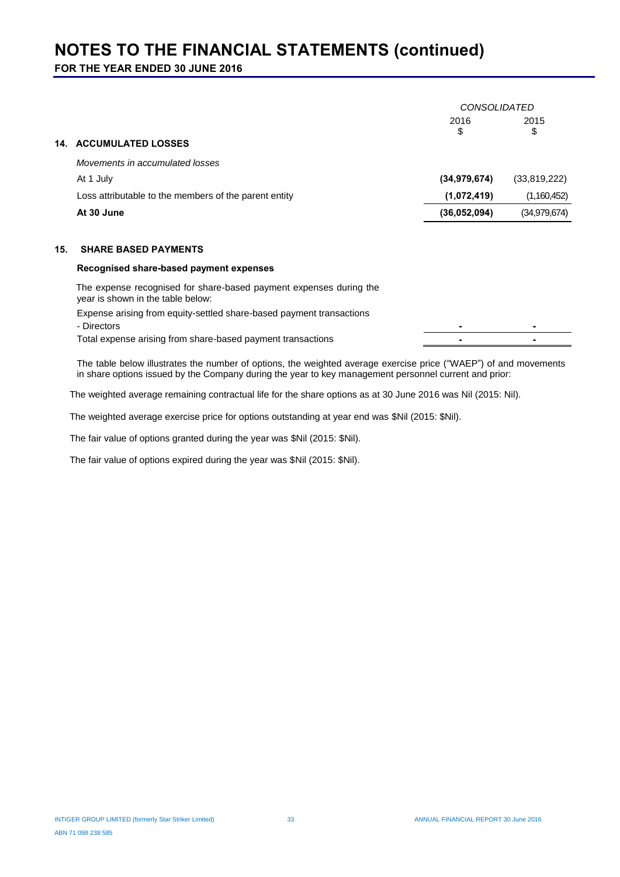**FOR THE YEAR ENDED 30 JUNE 2016**

|     |                                                                                                         | <b>CONSOLIDATED</b> |                |
|-----|---------------------------------------------------------------------------------------------------------|---------------------|----------------|
|     |                                                                                                         | 2016                | 2015           |
|     | <b>14. ACCUMULATED LOSSES</b>                                                                           | \$                  | \$             |
|     | Movements in accumulated losses                                                                         |                     |                |
|     | At 1 July                                                                                               | (34, 979, 674)      | (33,819,222)   |
|     | Loss attributable to the members of the parent entity                                                   | (1,072,419)         | (1,160,452)    |
|     | At 30 June                                                                                              | (36,052,094)        | (34, 979, 674) |
|     |                                                                                                         |                     |                |
| 15. | <b>SHARE BASED PAYMENTS</b>                                                                             |                     |                |
|     | Recognised share-based payment expenses                                                                 |                     |                |
|     | The expense recognised for share-based payment expenses during the<br>year is shown in the table below: |                     |                |
|     | Expense arising from equity-settled share-based payment transactions<br>- Directors                     |                     |                |
|     | Total expense arising from share-based payment transactions                                             |                     |                |
|     |                                                                                                         |                     |                |

The table below illustrates the number of options, the weighted average exercise price ("WAEP") of and movements in share options issued by the Company during the year to key management personnel current and prior:

The weighted average remaining contractual life for the share options as at 30 June 2016 was Nil (2015: Nil).

The weighted average exercise price for options outstanding at year end was \$Nil (2015: \$Nil).

The fair value of options granted during the year was \$Nil (2015: \$Nil).

The fair value of options expired during the year was \$Nil (2015: \$Nil).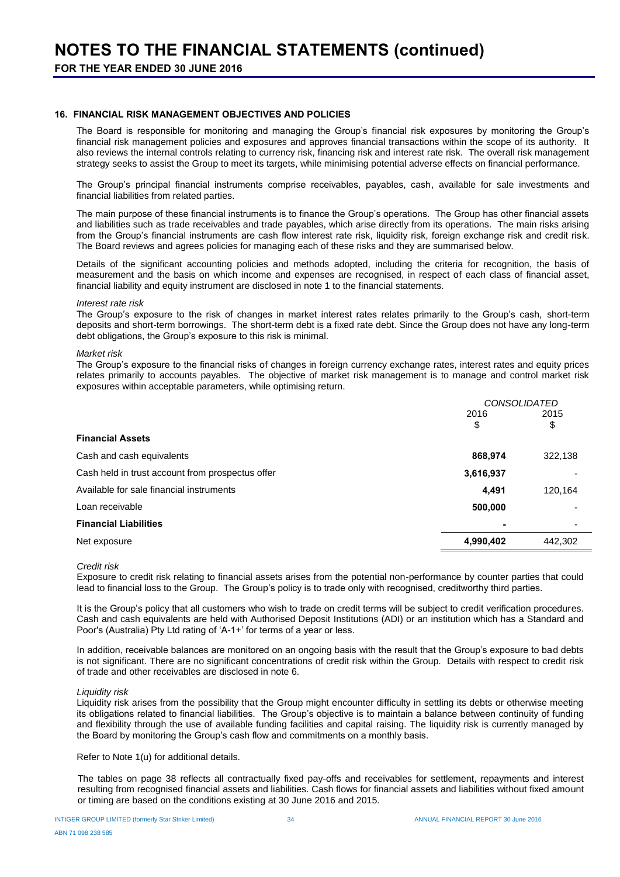#### **16. FINANCIAL RISK MANAGEMENT OBJECTIVES AND POLICIES**

The Board is responsible for monitoring and managing the Group's financial risk exposures by monitoring the Group's financial risk management policies and exposures and approves financial transactions within the scope of its authority. It also reviews the internal controls relating to currency risk, financing risk and interest rate risk. The overall risk management strategy seeks to assist the Group to meet its targets, while minimising potential adverse effects on financial performance.

The Group's principal financial instruments comprise receivables, payables, cash, available for sale investments and financial liabilities from related parties.

The main purpose of these financial instruments is to finance the Group's operations. The Group has other financial assets and liabilities such as trade receivables and trade payables, which arise directly from its operations. The main risks arising from the Group's financial instruments are cash flow interest rate risk, liquidity risk, foreign exchange risk and credit risk. The Board reviews and agrees policies for managing each of these risks and they are summarised below.

Details of the significant accounting policies and methods adopted, including the criteria for recognition, the basis of measurement and the basis on which income and expenses are recognised, in respect of each class of financial asset, financial liability and equity instrument are disclosed in note 1 to the financial statements.

#### *Interest rate risk*

The Group's exposure to the risk of changes in market interest rates relates primarily to the Group's cash, short-term deposits and short-term borrowings. The short-term debt is a fixed rate debt. Since the Group does not have any long-term debt obligations, the Group's exposure to this risk is minimal.

#### *Market risk*

The Group's exposure to the financial risks of changes in foreign currency exchange rates, interest rates and equity prices relates primarily to accounts payables. The objective of market risk management is to manage and control market risk exposures within acceptable parameters, while optimising return.

|                                                  | <b>CONSOLIDATED</b> |         |
|--------------------------------------------------|---------------------|---------|
|                                                  | 2016                | 2015    |
|                                                  | \$                  | \$      |
| <b>Financial Assets</b>                          |                     |         |
| Cash and cash equivalents                        | 868,974             | 322,138 |
| Cash held in trust account from prospectus offer | 3,616,937           |         |
| Available for sale financial instruments         | 4,491               | 120,164 |
| Loan receivable                                  | 500,000             |         |
| <b>Financial Liabilities</b>                     |                     |         |
| Net exposure                                     | 4,990,402           | 442,302 |

#### *Credit risk*

Exposure to credit risk relating to financial assets arises from the potential non-performance by counter parties that could lead to financial loss to the Group. The Group's policy is to trade only with recognised, creditworthy third parties.

It is the Group's policy that all customers who wish to trade on credit terms will be subject to credit verification procedures. Cash and cash equivalents are held with Authorised Deposit Institutions (ADI) or an institution which has a Standard and Poor's (Australia) Pty Ltd rating of 'A-1+' for terms of a year or less.

In addition, receivable balances are monitored on an ongoing basis with the result that the Group's exposure to bad debts is not significant. There are no significant concentrations of credit risk within the Group. Details with respect to credit risk of trade and other receivables are disclosed in note 6.

#### *Liquidity risk*

Liquidity risk arises from the possibility that the Group might encounter difficulty in settling its debts or otherwise meeting its obligations related to financial liabilities. The Group's objective is to maintain a balance between continuity of funding and flexibility through the use of available funding facilities and capital raising. The liquidity risk is currently managed by the Board by monitoring the Group's cash flow and commitments on a monthly basis.

Refer to Note 1(u) for additional details.

The tables on page 38 reflects all contractually fixed pay-offs and receivables for settlement, repayments and interest resulting from recognised financial assets and liabilities. Cash flows for financial assets and liabilities without fixed amount or timing are based on the conditions existing at 30 June 2016 and 2015.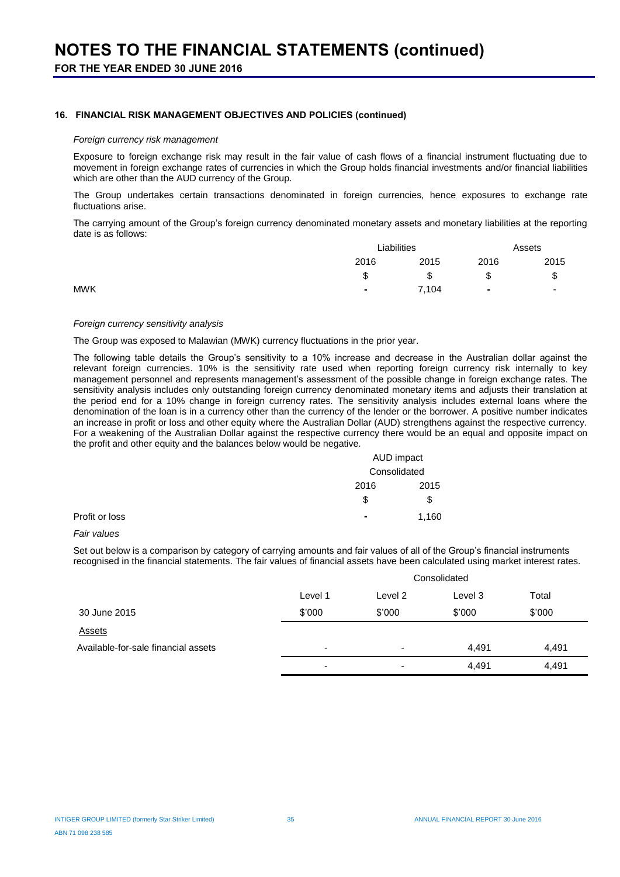#### **16. FINANCIAL RISK MANAGEMENT OBJECTIVES AND POLICIES (continued)**

#### *Foreign currency risk management*

Exposure to foreign exchange risk may result in the fair value of cash flows of a financial instrument fluctuating due to movement in foreign exchange rates of currencies in which the Group holds financial investments and/or financial liabilities which are other than the AUD currency of the Group.

The Group undertakes certain transactions denominated in foreign currencies, hence exposures to exchange rate fluctuations arise.

The carrying amount of the Group's foreign currency denominated monetary assets and monetary liabilities at the reporting date is as follows:

|            | Liabilities |       | Assets |                          |
|------------|-------------|-------|--------|--------------------------|
|            | 2016        | 2015  | 2016   | 2015                     |
|            | ጦ<br>J      | \$    | \$     | \$                       |
| <b>MWK</b> |             | 7,104 | ٠      | $\overline{\phantom{a}}$ |
|            |             |       |        |                          |

#### *Foreign currency sensitivity analysis*

The Group was exposed to Malawian (MWK) currency fluctuations in the prior year.

The following table details the Group's sensitivity to a 10% increase and decrease in the Australian dollar against the relevant foreign currencies. 10% is the sensitivity rate used when reporting foreign currency risk internally to key management personnel and represents management's assessment of the possible change in foreign exchange rates. The sensitivity analysis includes only outstanding foreign currency denominated monetary items and adjusts their translation at the period end for a 10% change in foreign currency rates. The sensitivity analysis includes external loans where the denomination of the loan is in a currency other than the currency of the lender or the borrower. A positive number indicates an increase in profit or loss and other equity where the Australian Dollar (AUD) strengthens against the respective currency. For a weakening of the Australian Dollar against the respective currency there would be an equal and opposite impact on the profit and other equity and the balances below would be negative.

|                |      | AUD impact   |  |
|----------------|------|--------------|--|
|                |      | Consolidated |  |
|                | 2016 | 2015         |  |
|                | \$   | \$           |  |
| Profit or loss | ۰    | 1,160        |  |

#### *Fair values*

Set out below is a comparison by category of carrying amounts and fair values of all of the Group's financial instruments recognised in the financial statements. The fair values of financial assets have been calculated using market interest rates.

|                                     |                          | Consolidated             |         |        |  |
|-------------------------------------|--------------------------|--------------------------|---------|--------|--|
|                                     | Level 1                  | Level 2                  | Level 3 | Total  |  |
| 30 June 2015                        | \$'000                   | \$'000                   | \$'000  | \$'000 |  |
| <b>Assets</b>                       |                          |                          |         |        |  |
| Available-for-sale financial assets | $\overline{\phantom{a}}$ | $\overline{\phantom{a}}$ | 4.491   | 4,491  |  |
|                                     | ٠                        | $\overline{\phantom{0}}$ | 4,491   | 4,491  |  |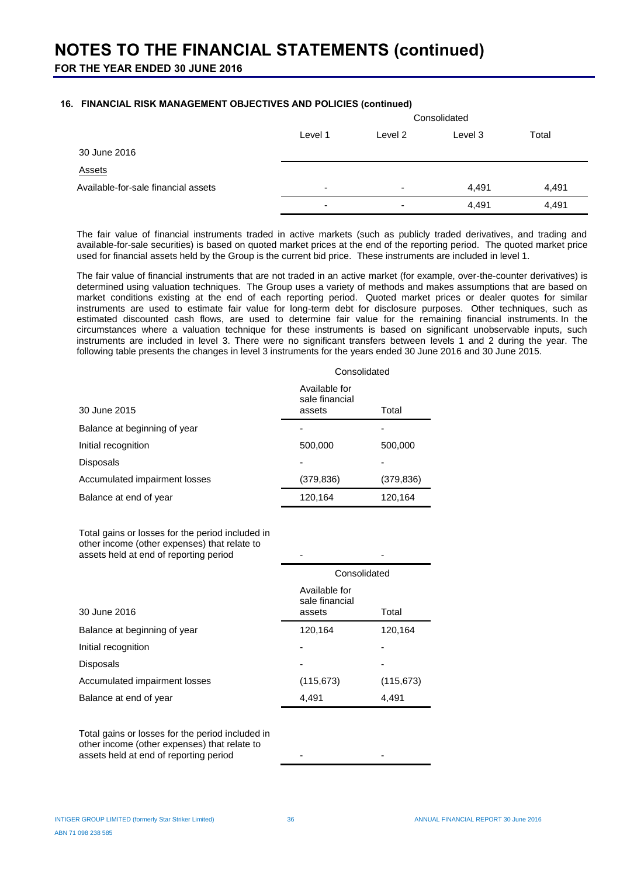#### **16. FINANCIAL RISK MANAGEMENT OBJECTIVES AND POLICIES (continued)**

|                                     |         | Consolidated             |         |       |  |
|-------------------------------------|---------|--------------------------|---------|-------|--|
|                                     | Level 1 | Level 2                  | Level 3 | Total |  |
| 30 June 2016                        |         |                          |         |       |  |
| <b>Assets</b>                       |         |                          |         |       |  |
| Available-for-sale financial assets | ۰       | $\overline{\phantom{a}}$ | 4,491   | 4,491 |  |
|                                     | ۰       | -                        | 4,491   | 4,491 |  |

The fair value of financial instruments traded in active markets (such as publicly traded derivatives, and trading and available-for-sale securities) is based on quoted market prices at the end of the reporting period. The quoted market price used for financial assets held by the Group is the current bid price. These instruments are included in level 1.

The fair value of financial instruments that are not traded in an active market (for example, over-the-counter derivatives) is determined using valuation techniques. The Group uses a variety of methods and makes assumptions that are based on market conditions existing at the end of each reporting period. Quoted market prices or dealer quotes for similar instruments are used to estimate fair value for long-term debt for disclosure purposes. Other techniques, such as estimated discounted cash flows, are used to determine fair value for the remaining financial instruments. In the circumstances where a valuation technique for these instruments is based on significant unobservable inputs, such instruments are included in level 3. There were no significant transfers between levels 1 and 2 during the year. The following table presents the changes in level 3 instruments for the years ended 30 June 2016 and 30 June 2015.

|                               | Consolidated                              |            |  |  |
|-------------------------------|-------------------------------------------|------------|--|--|
| 30 June 2015                  | Available for<br>sale financial<br>assets | Total      |  |  |
| Balance at beginning of year  |                                           |            |  |  |
| Initial recognition           | 500,000                                   | 500,000    |  |  |
| <b>Disposals</b>              |                                           |            |  |  |
| Accumulated impairment losses | (379, 836)                                | (379, 836) |  |  |
| Balance at end of year        | 120,164                                   | 120,164    |  |  |

Total gains or losses for the period included in other income (other expenses) that relate to assets held at end of reporting period

|                               | Consolidated                              |            |  |  |
|-------------------------------|-------------------------------------------|------------|--|--|
| 30 June 2016                  | Available for<br>sale financial<br>assets | Total      |  |  |
| Balance at beginning of year  | 120,164                                   | 120,164    |  |  |
| Initial recognition           |                                           |            |  |  |
| <b>Disposals</b>              |                                           |            |  |  |
| Accumulated impairment losses | (115, 673)                                | (115, 673) |  |  |
| Balance at end of year        | 4,491                                     | 4,491      |  |  |

Total gains or losses for the period included in other income (other expenses) that relate to assets held at end of reporting period and  $\sim$  -  $\sim$  -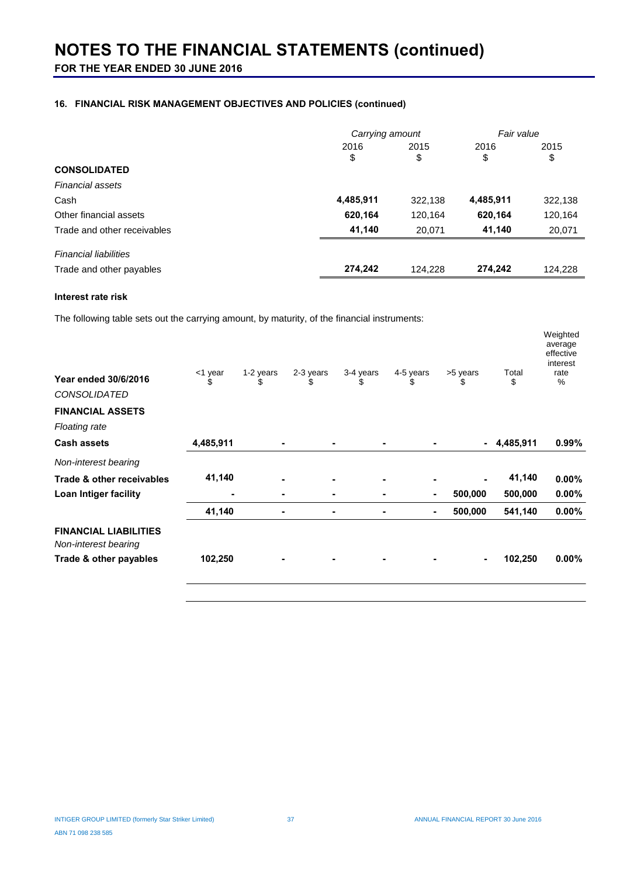## **116. FINANCIAL RISK MANAGEMENT OBJECTIVES AND POLICIES (continued)**

|                              | Carrying amount |            | Fair value |            |
|------------------------------|-----------------|------------|------------|------------|
|                              | 2016<br>\$      | 2015<br>\$ | 2016<br>\$ | 2015<br>\$ |
| <b>CONSOLIDATED</b>          |                 |            |            |            |
| <b>Financial assets</b>      |                 |            |            |            |
| Cash                         | 4,485,911       | 322,138    | 4,485,911  | 322,138    |
| Other financial assets       | 620,164         | 120,164    | 620,164    | 120,164    |
| Trade and other receivables  | 41,140          | 20,071     | 41,140     | 20,071     |
| <b>Financial liabilities</b> |                 |            |            |            |
| Trade and other payables     | 274,242         | 124,228    | 274,242    | 124,228    |

#### **Interest rate risk**

The following table sets out the carrying amount, by maturity, of the financial instruments:

| <b>Year ended 30/6/2016</b><br><b>CONSOLIDATED</b>   | <1 year<br>\$ | 1-2 years<br>\$ | 2-3 years<br>\$ | 3-4 years<br>\$ | 4-5 years<br>\$ | >5 years<br>\$ | Total<br>\$ | Weighted<br>average<br>effective<br>interest<br>rate<br>% |
|------------------------------------------------------|---------------|-----------------|-----------------|-----------------|-----------------|----------------|-------------|-----------------------------------------------------------|
| <b>FINANCIAL ASSETS</b>                              |               |                 |                 |                 |                 |                |             |                                                           |
| <b>Floating rate</b>                                 |               |                 |                 |                 |                 |                |             |                                                           |
| <b>Cash assets</b>                                   | 4,485,911     |                 | ٠               | $\blacksquare$  |                 | $\blacksquare$ | 4,485,911   | 0.99%                                                     |
| Non-interest bearing                                 |               |                 |                 |                 |                 |                |             |                                                           |
| Trade & other receivables                            | 41,140        |                 | $\blacksquare$  | $\blacksquare$  |                 |                | 41,140      | $0.00\%$                                                  |
| Loan Intiger facility                                | ٠             | ۰               | ٠               | ٠               | $\blacksquare$  | 500,000        | 500,000     | $0.00\%$                                                  |
|                                                      | 41,140        |                 | $\blacksquare$  | ٠               | $\blacksquare$  | 500,000        | 541,140     | $0.00\%$                                                  |
| <b>FINANCIAL LIABILITIES</b><br>Non-interest bearing |               |                 |                 |                 |                 |                |             |                                                           |
| Trade & other payables                               | 102,250       |                 | ۰               | ۰               |                 | $\blacksquare$ | 102,250     | $0.00\%$                                                  |
|                                                      |               |                 |                 |                 |                 |                |             |                                                           |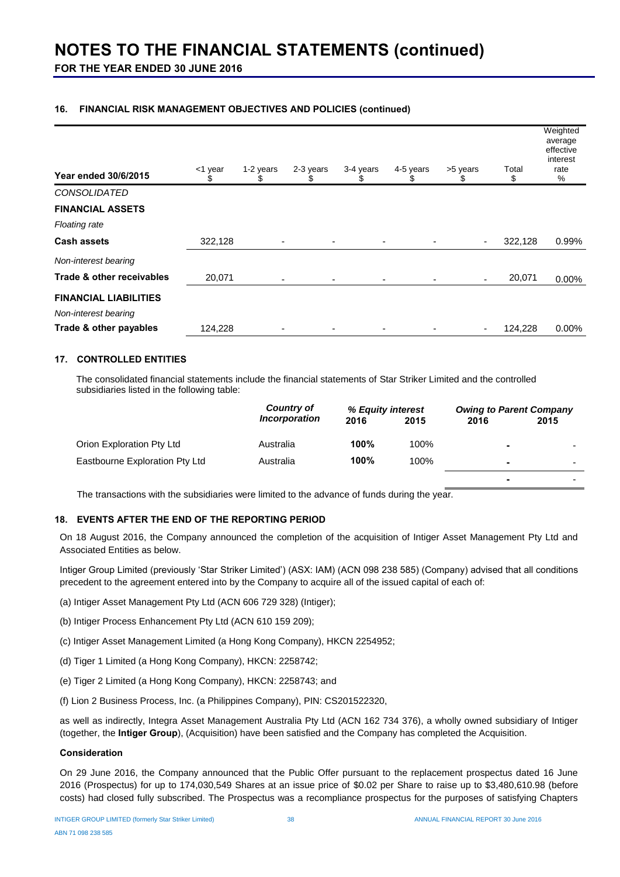**FOR THE YEAR ENDED 30 JUNE 2016**

### **16. FINANCIAL RISK MANAGEMENT OBJECTIVES AND POLICIES (continued)**

| <b>Year ended 30/6/2015</b>  | <1 year<br>\$ | 1-2 years<br>SS          | 2-3 years<br>S | 3-4 years<br>S | 4-5 years<br>S | >5 years<br>S            | Total<br>\$ | Weighted<br>average<br>effective<br>interest<br>rate<br>% |
|------------------------------|---------------|--------------------------|----------------|----------------|----------------|--------------------------|-------------|-----------------------------------------------------------|
| <b>CONSOLIDATED</b>          |               |                          |                |                |                |                          |             |                                                           |
| <b>FINANCIAL ASSETS</b>      |               |                          |                |                |                |                          |             |                                                           |
| <b>Floating rate</b>         |               |                          |                |                |                |                          |             |                                                           |
| <b>Cash assets</b>           | 322,128       |                          |                |                |                | ٠                        | 322,128     | 0.99%                                                     |
| Non-interest bearing         |               |                          |                |                |                |                          |             |                                                           |
| Trade & other receivables    | 20,071        | $\overline{\phantom{0}}$ | $\blacksquare$ | ۰              |                | $\blacksquare$           | 20,071      | 0.00%                                                     |
| <b>FINANCIAL LIABILITIES</b> |               |                          |                |                |                |                          |             |                                                           |
| Non-interest bearing         |               |                          |                |                |                |                          |             |                                                           |
| Trade & other payables       | 124,228       |                          |                |                |                | $\overline{\phantom{a}}$ | 124,228     | $0.00\%$                                                  |

#### **17. CONTROLLED ENTITIES**

The consolidated financial statements include the financial statements of Star Striker Limited and the controlled subsidiaries listed in the following table:

|                                | Country of                  | % Equity interest |      | <b>Owing to Parent Company</b> |      |
|--------------------------------|-----------------------------|-------------------|------|--------------------------------|------|
|                                | <i><b>Incorporation</b></i> | 2016              | 2015 | 2016                           | 2015 |
| Orion Exploration Pty Ltd      | Australia                   | 100%              | 100% | ۰                              |      |
| Eastbourne Exploration Pty Ltd | Australia                   | 100%              | 100% | $\overline{\phantom{a}}$       | -    |
|                                |                             |                   |      | ۰                              |      |

The transactions with the subsidiaries were limited to the advance of funds during the year.

#### **18. EVENTS AFTER THE END OF THE REPORTING PERIOD**

On 18 August 2016, the Company announced the completion of the acquisition of Intiger Asset Management Pty Ltd and Associated Entities as below.

Intiger Group Limited (previously 'Star Striker Limited') (ASX: IAM) (ACN 098 238 585) (Company) advised that all conditions precedent to the agreement entered into by the Company to acquire all of the issued capital of each of:

- (a) Intiger Asset Management Pty Ltd (ACN 606 729 328) (Intiger);
- (b) Intiger Process Enhancement Pty Ltd (ACN 610 159 209);
- (c) Intiger Asset Management Limited (a Hong Kong Company), HKCN 2254952;
- (d) Tiger 1 Limited (a Hong Kong Company), HKCN: 2258742;
- (e) Tiger 2 Limited (a Hong Kong Company), HKCN: 2258743; and
- (f) Lion 2 Business Process, Inc. (a Philippines Company), PIN: CS201522320,

as well as indirectly, Integra Asset Management Australia Pty Ltd (ACN 162 734 376), a wholly owned subsidiary of Intiger (together, the **Intiger Group**), (Acquisition) have been satisfied and the Company has completed the Acquisition.

#### **Consideration**

On 29 June 2016, the Company announced that the Public Offer pursuant to the replacement prospectus dated 16 June 2016 (Prospectus) for up to 174,030,549 Shares at an issue price of \$0.02 per Share to raise up to \$3,480,610.98 (before costs) had closed fully subscribed. The Prospectus was a recompliance prospectus for the purposes of satisfying Chapters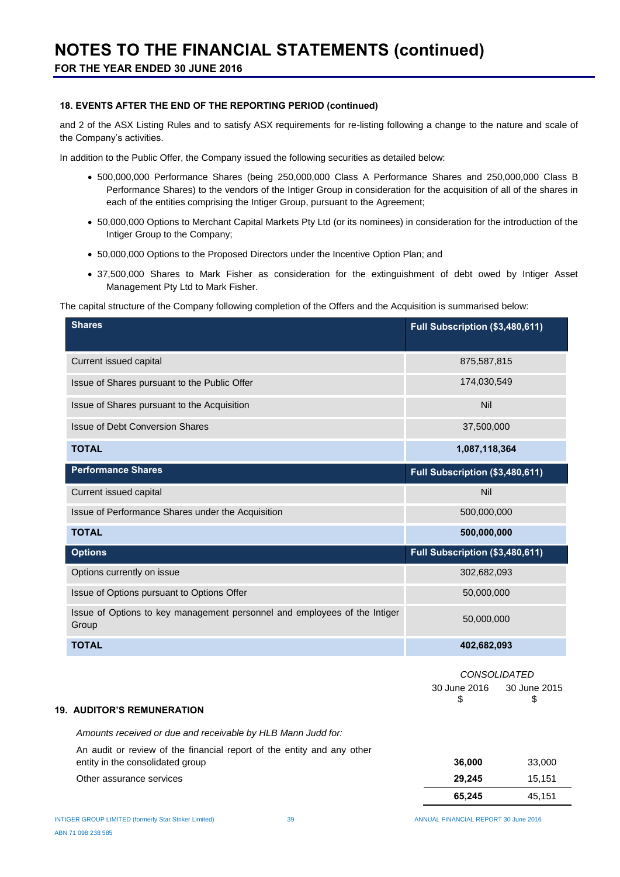#### **18. EVENTS AFTER THE END OF THE REPORTING PERIOD (continued)**

and 2 of the ASX Listing Rules and to satisfy ASX requirements for re-listing following a change to the nature and scale of the Company's activities.

In addition to the Public Offer, the Company issued the following securities as detailed below:

- 500,000,000 Performance Shares (being 250,000,000 Class A Performance Shares and 250,000,000 Class B Performance Shares) to the vendors of the Intiger Group in consideration for the acquisition of all of the shares in each of the entities comprising the Intiger Group, pursuant to the Agreement;
- 50,000,000 Options to Merchant Capital Markets Pty Ltd (or its nominees) in consideration for the introduction of the Intiger Group to the Company;
- 50,000,000 Options to the Proposed Directors under the Incentive Option Plan; and
- 37,500,000 Shares to Mark Fisher as consideration for the extinguishment of debt owed by Intiger Asset Management Pty Ltd to Mark Fisher.

The capital structure of the Company following completion of the Offers and the Acquisition is summarised below:

| <b>Shares</b>                                                                      | Full Subscription (\$3,480,611)                         |
|------------------------------------------------------------------------------------|---------------------------------------------------------|
| Current issued capital                                                             | 875,587,815                                             |
| Issue of Shares pursuant to the Public Offer                                       | 174,030,549                                             |
| Issue of Shares pursuant to the Acquisition                                        | Nil                                                     |
| <b>Issue of Debt Conversion Shares</b>                                             | 37,500,000                                              |
| <b>TOTAL</b>                                                                       | 1,087,118,364                                           |
| <b>Performance Shares</b>                                                          | Full Subscription (\$3,480,611)                         |
| <b>Current issued capital</b>                                                      | Nil                                                     |
| Issue of Performance Shares under the Acquisition                                  | 500,000,000                                             |
| <b>TOTAL</b>                                                                       | 500,000,000                                             |
| <b>Options</b>                                                                     | Full Subscription (\$3,480,611)                         |
| Options currently on issue                                                         | 302,682,093                                             |
| Issue of Options pursuant to Options Offer                                         | 50,000,000                                              |
| Issue of Options to key management personnel and employees of the Intiger<br>Group | 50,000,000                                              |
| <b>TOTAL</b>                                                                       | 402,682,093                                             |
| <b>19. AUDITOR'S REMUNERATION</b>                                                  | CONSOLIDATED<br>30 June 2016<br>30 June 2015<br>\$<br>S |
| Amounts received or due and receivable by HLB Mann Judd for:                       |                                                         |
| An audit or review of the financial report of the entity and any other             |                                                         |

|                                  | 65.245 | 45.151 |
|----------------------------------|--------|--------|
| Other assurance services         | 29.245 | 15.151 |
| entity in the consolidated group | 36.000 | 33,000 |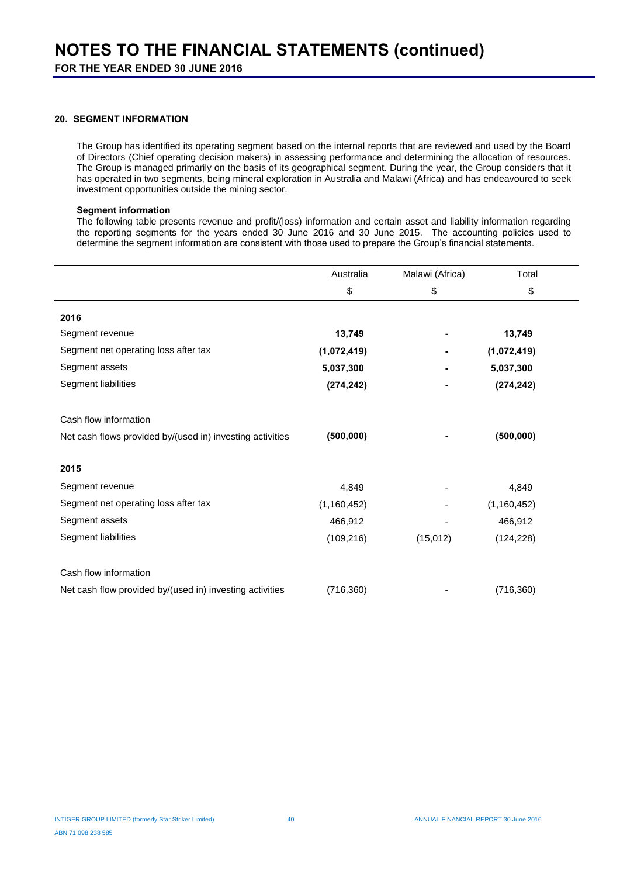### **20. SEGMENT INFORMATION**

The Group has identified its operating segment based on the internal reports that are reviewed and used by the Board of Directors (Chief operating decision makers) in assessing performance and determining the allocation of resources. The Group is managed primarily on the basis of its geographical segment. During the year, the Group considers that it has operated in two segments, being mineral exploration in Australia and Malawi (Africa) and has endeavoured to seek investment opportunities outside the mining sector.

#### **Segment information**

The following table presents revenue and profit/(loss) information and certain asset and liability information regarding the reporting segments for the years ended 30 June 2016 and 30 June 2015. The accounting policies used to determine the segment information are consistent with those used to prepare the Group's financial statements.

|                                                           | Australia     | Malawi (Africa) | Total         |  |
|-----------------------------------------------------------|---------------|-----------------|---------------|--|
|                                                           | \$            | \$              | \$            |  |
| 2016                                                      |               |                 |               |  |
| Segment revenue                                           | 13,749        |                 | 13,749        |  |
| Segment net operating loss after tax                      | (1,072,419)   |                 | (1,072,419)   |  |
| Segment assets                                            | 5,037,300     |                 | 5,037,300     |  |
| Segment liabilities                                       | (274, 242)    |                 | (274, 242)    |  |
| Cash flow information                                     |               |                 |               |  |
| Net cash flows provided by/(used in) investing activities | (500, 000)    |                 | (500,000)     |  |
| 2015                                                      |               |                 |               |  |
| Segment revenue                                           | 4,849         |                 | 4,849         |  |
| Segment net operating loss after tax                      | (1, 160, 452) |                 | (1, 160, 452) |  |
| Segment assets                                            | 466,912       |                 | 466,912       |  |
| Segment liabilities                                       | (109, 216)    | (15, 012)       | (124, 228)    |  |
| Cash flow information                                     |               |                 |               |  |
| Net cash flow provided by/(used in) investing activities  | (716, 360)    |                 | (716, 360)    |  |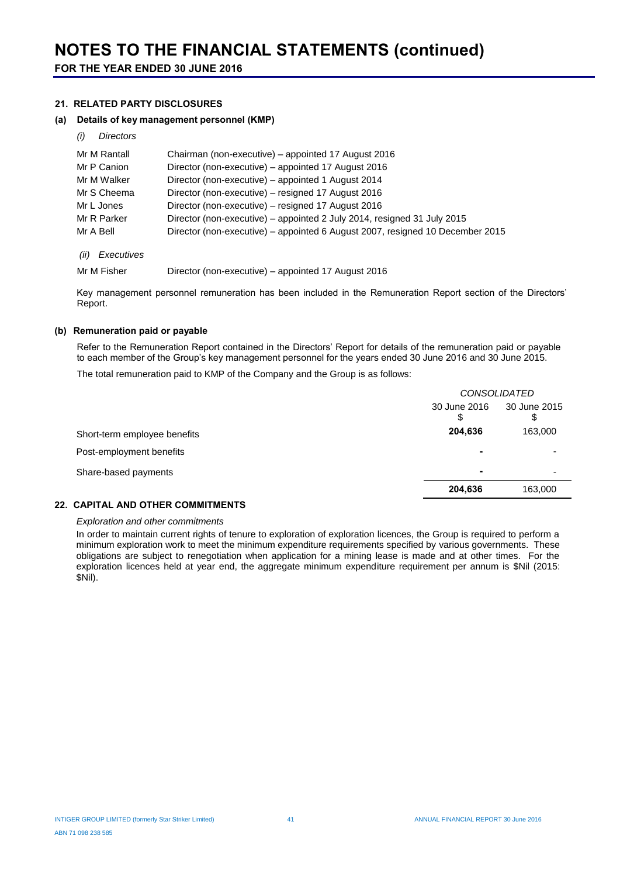#### **21. RELATED PARTY DISCLOSURES**

#### **(a) Details of key management personnel (KMP)**

*(i) Directors*

| Mr M Rantall       | Chairman (non-executive) – appointed 17 August 2016                           |
|--------------------|-------------------------------------------------------------------------------|
| Mr P Canion        | Director (non-executive) - appointed 17 August 2016                           |
| Mr M Walker        | Director (non-executive) – appointed 1 August 2014                            |
| Mr S Cheema        | Director (non-executive) - resigned 17 August 2016                            |
| Mr L Jones         | Director (non-executive) – resigned 17 August 2016                            |
| Mr R Parker        | Director (non-executive) – appointed 2 July 2014, resigned 31 July 2015       |
| Mr A Bell          | Director (non-executive) – appointed 6 August 2007, resigned 10 December 2015 |
| (ii)<br>Executives |                                                                               |

Mr M Fisher Director (non-executive) – appointed 17 August 2016

Key management personnel remuneration has been included in the Remuneration Report section of the Directors' Report.

### **(b) Remuneration paid or payable**

Refer to the Remuneration Report contained in the Directors' Report for details of the remuneration paid or payable to each member of the Group's key management personnel for the years ended 30 June 2016 and 30 June 2015.

The total remuneration paid to KMP of the Company and the Group is as follows:

|                              | <b>CONSOLIDATED</b> |                     |  |
|------------------------------|---------------------|---------------------|--|
|                              | 30 June 2016<br>S   | 30 June 2015<br>\$. |  |
| Short-term employee benefits | 204,636             | 163,000             |  |
| Post-employment benefits     | ۰                   |                     |  |
| Share-based payments         |                     |                     |  |
|                              | 204,636             | 163,000             |  |

#### **22. CAPITAL AND OTHER COMMITMENTS**

#### *Exploration and other commitments*

In order to maintain current rights of tenure to exploration of exploration licences, the Group is required to perform a minimum exploration work to meet the minimum expenditure requirements specified by various governments. These obligations are subject to renegotiation when application for a mining lease is made and at other times. For the exploration licences held at year end, the aggregate minimum expenditure requirement per annum is \$Nil (2015: \$Nil).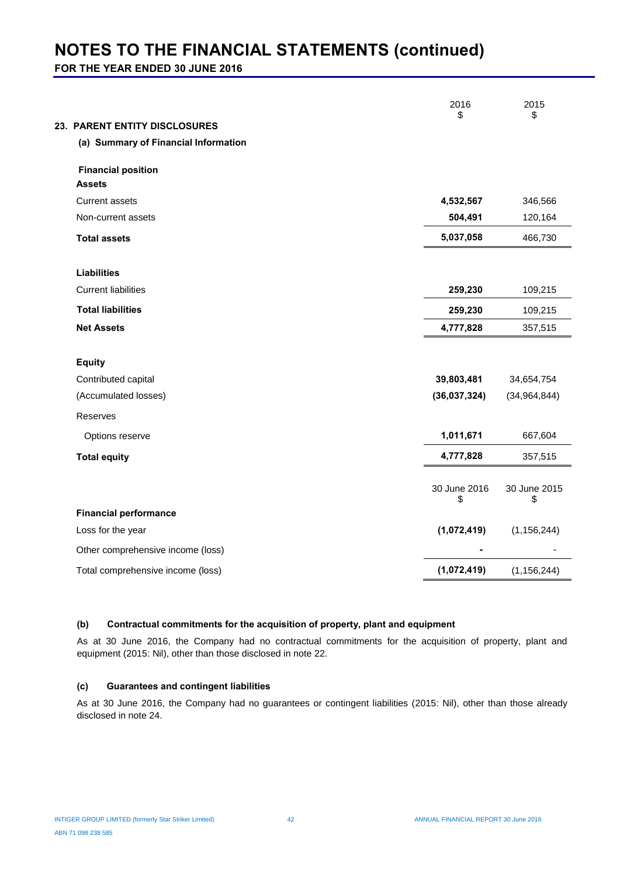**FOR THE YEAR ENDED 30 JUNE 2016**

| 23. PARENT ENTITY DISCLOSURES              | 2016<br>\$         | 2015<br>\$         |
|--------------------------------------------|--------------------|--------------------|
| (a) Summary of Financial Information       |                    |                    |
| <b>Financial position</b><br><b>Assets</b> |                    |                    |
| <b>Current assets</b>                      | 4,532,567          | 346,566            |
| Non-current assets                         | 504,491            | 120,164            |
| <b>Total assets</b>                        | 5,037,058          | 466,730            |
| <b>Liabilities</b>                         |                    |                    |
| <b>Current liabilities</b>                 | 259,230            | 109,215            |
| <b>Total liabilities</b>                   | 259,230            | 109,215            |
| <b>Net Assets</b>                          | 4,777,828          | 357,515            |
| <b>Equity</b>                              |                    |                    |
| Contributed capital                        | 39,803,481         | 34,654,754         |
| (Accumulated losses)                       | (36,037,324)       | (34, 964, 844)     |
| Reserves                                   |                    |                    |
| Options reserve                            | 1,011,671          | 667,604            |
| <b>Total equity</b>                        | 4,777,828          | 357,515            |
|                                            | 30 June 2016<br>\$ | 30 June 2015<br>\$ |
| <b>Financial performance</b>               |                    |                    |
| Loss for the year                          | (1,072,419)        | (1, 156, 244)      |
| Other comprehensive income (loss)          |                    |                    |
| Total comprehensive income (loss)          | (1,072,419)        | (1, 156, 244)      |
|                                            |                    |                    |

#### **(b) Contractual commitments for the acquisition of property, plant and equipment**

As at 30 June 2016, the Company had no contractual commitments for the acquisition of property, plant and equipment (2015: Nil), other than those disclosed in note 22.

#### **(c) Guarantees and contingent liabilities**

As at 30 June 2016, the Company had no guarantees or contingent liabilities (2015: Nil), other than those already disclosed in note 24.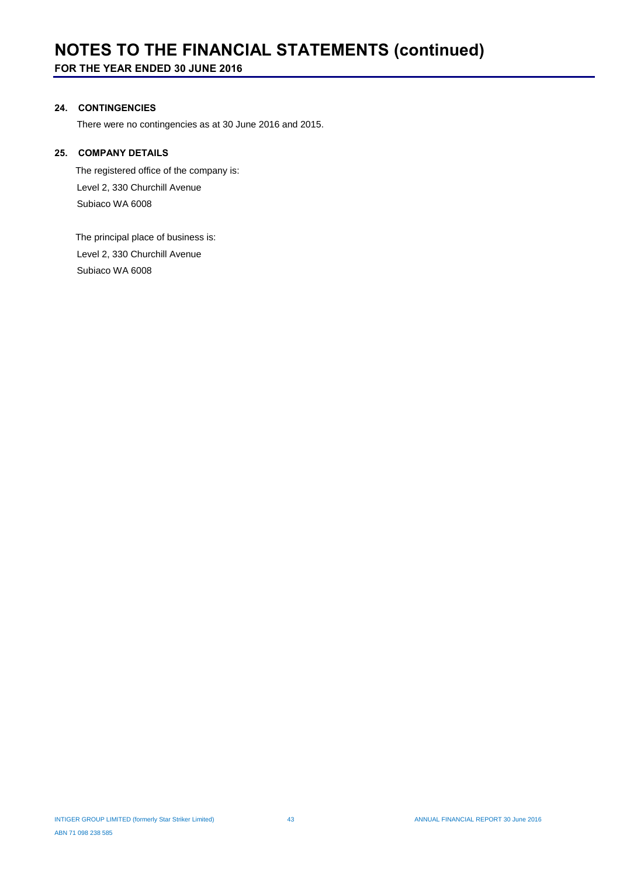### **24. CONTINGENCIES**

There were no contingencies as at 30 June 2016 and 2015.

#### **25. COMPANY DETAILS**

 The registered office of the company is: Level 2, 330 Churchill Avenue Subiaco WA 6008

 The principal place of business is: Level 2, 330 Churchill Avenue Subiaco WA 6008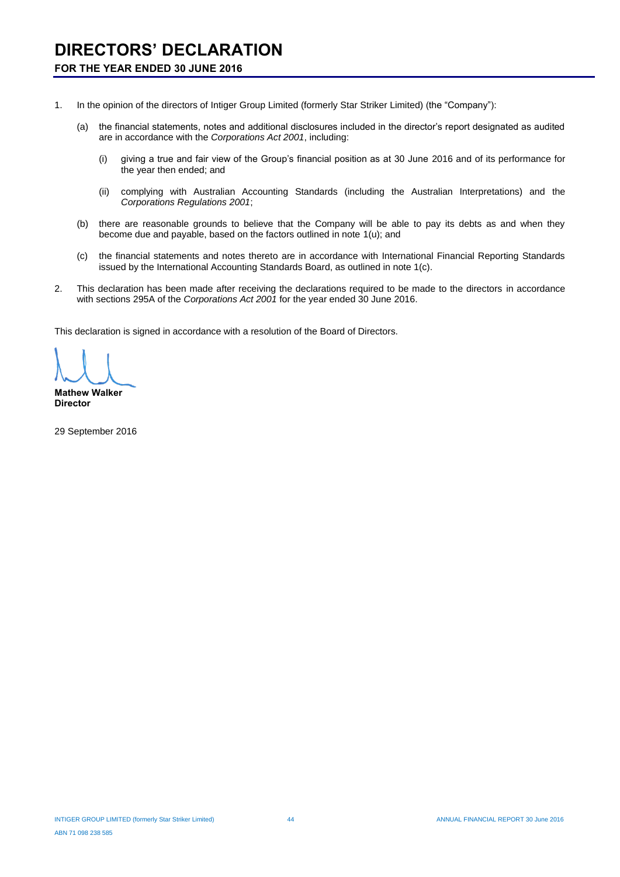## **DIRECTORS' DECLARATION**

### **FOR THE YEAR ENDED 30 JUNE 2016**

- 1. In the opinion of the directors of Intiger Group Limited (formerly Star Striker Limited) (the "Company"):
	- (a) the financial statements, notes and additional disclosures included in the director's report designated as audited are in accordance with the *Corporations Act 2001*, including:
		- (i) giving a true and fair view of the Group's financial position as at 30 June 2016 and of its performance for the year then ended; and
		- (ii) complying with Australian Accounting Standards (including the Australian Interpretations) and the *Corporations Regulations 2001*;
	- (b) there are reasonable grounds to believe that the Company will be able to pay its debts as and when they become due and payable, based on the factors outlined in note 1(u); and
	- (c) the financial statements and notes thereto are in accordance with International Financial Reporting Standards issued by the International Accounting Standards Board, as outlined in note 1(c).
- 2. This declaration has been made after receiving the declarations required to be made to the directors in accordance with sections 295A of the *Corporations Act 2001* for the year ended 30 June 2016.

This declaration is signed in accordance with a resolution of the Board of Directors.

**Mathew Walker Director**

29 September 2016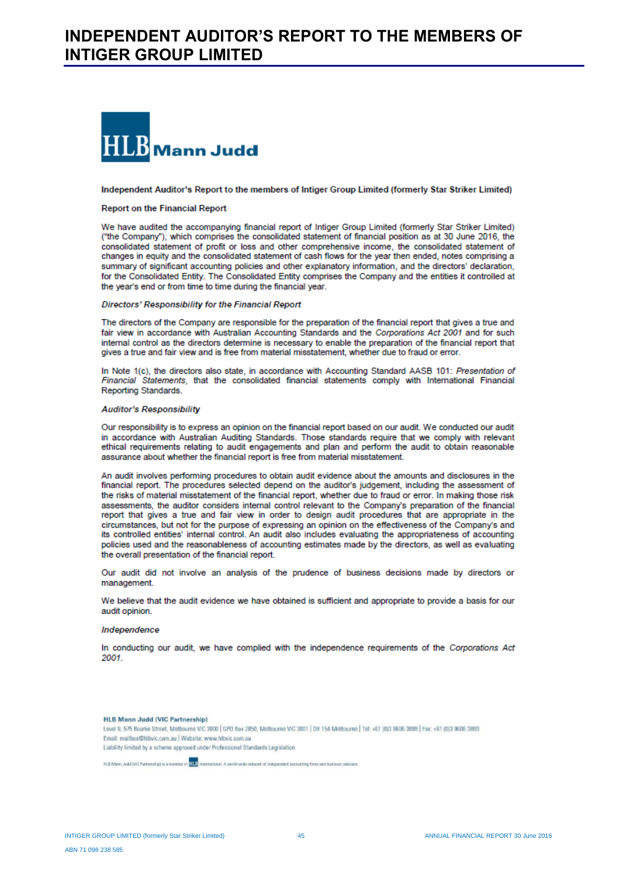

#### Independent Auditor's Report to the members of Intiger Group Limited (formerly Star Striker Limited)

#### **Report on the Financial Report**

We have audited the accompanying financial report of Intiger Group Limited (formerly Star Striker Limited) ("the Company"), which comprises the consolidated statement of financial position as at 30 June 2016, the consolidated statement of profit or loss and other comprehensive income, the consolidated statement of changes in equity and the consolidated statement of cash flows for the year then ended, notes comprising a summary of significant accounting policies and other explanatory information, and the directors' declaration, for the Consolidated Entity. The Consolidated Entity comprises the Company and the entities it controlled at the year's end or from time to time during the financial year.

#### Directors' Responsibility for the Financial Report

The directors of the Company are responsible for the preparation of the financial report that gives a true and fair view in accordance with Australian Accounting Standards and the Corporations Act 2001 and for such internal control as the directors determine is necessary to enable the preparation of the financial report that gives a true and fair view and is free from material misstatement, whether due to fraud or error.

In Note 1(c), the directors also state, in accordance with Accounting Standard AASB 101: Presentation of Financial Statements, that the consolidated financial statements comply with International Financial Reporting Standards.

#### **Auditor's Responsibility**

Our responsibility is to express an opinion on the financial report based on our audit. We conducted our audit in accordance with Australian Auditing Standards. Those standards require that we comply with relevant ethical requirements relating to audit engagements and plan and perform the audit to obtain reasonable assurance about whether the financial report is free from material misstatement.

An audit involves performing procedures to obtain audit evidence about the amounts and disclosures in the financial report. The procedures selected depend on the auditor's judgement, including the assessment of the risks of material misstatement of the financial report, whether due to fraud or error. In making those risk assessments, the auditor considers internal control relevant to the Company's preparation of the financial report that gives a true and fair view in order to design audit procedures that are appropriate in the circumstances, but not for the purpose of expressing an opinion on the effectiveness of the Company's and its controlled entities' internal control. An audit also includes evaluating the appropriateness of accounting policies used and the reasonableness of accounting estimates made by the directors, as well as evaluating the overall presentation of the financial report.

Our audit did not involve an analysis of the prudence of business decisions made by directors or management.

We believe that the audit evidence we have obtained is sufficient and appropriate to provide a basis for our audit opinion.

#### Independence

In conducting our audit, we have complied with the independence requirements of the Corporations Act 2001

**HLB Mann Judd (VIC Partnership)** Level 9, 575 Bourke Street, Melbourne VIC 3000 | GPO Box 2850, Melbourne VIC 3001 | DX 154 Melbourne | Tel: +61 (013 9606 3888 | Fax: +61 (013 9606 3800 Email: mailbox@hlbvic.com.au | Website: www.hlbvic.com.au Liability limited by a scheme approved under Professional Standards Legislation

HLE Mann Judd (VIC Partnership) is a member of <mark>HLB</mark> International. A world-wide network of independent accounting times and business solviers.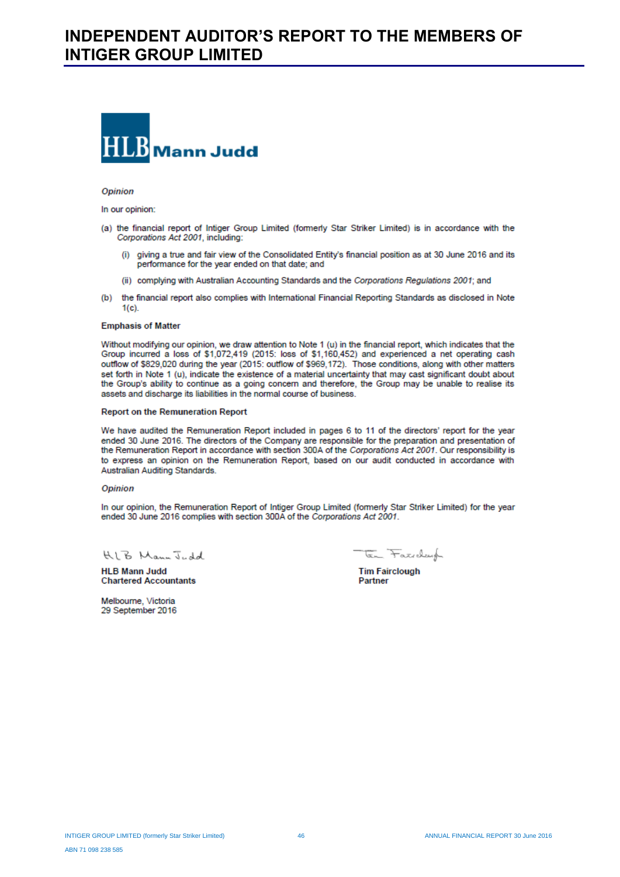## **INDEPENDENT AUDITOR'S REPORT TO THE MEMBERS OF INTIGER GROUP LIMITED**



#### Opinion

In our opinion:

- (a) the financial report of Intiger Group Limited (formerly Star Striker Limited) is in accordance with the Corporations Act 2001, including:
	- (i) giving a true and fair view of the Consolidated Entity's financial position as at 30 June 2016 and its performance for the year ended on that date; and
	- (ii) complying with Australian Accounting Standards and the Corporations Regulations 2001; and
- (b) the financial report also complies with International Financial Reporting Standards as disclosed in Note  $1(c)$

#### **Emphasis of Matter**

Without modifying our opinion, we draw attention to Note 1 (u) in the financial report, which indicates that the Group incurred a loss of \$1,072,419 (2015: loss of \$1,160,452) and experienced a net operating cash outflow of \$829,020 during the year (2015: outflow of \$969,172). Those conditions, along with other matters set forth in Note 1 (u), indicate the existence of a material uncertainty that may cast significant doubt about the Group's ability to continue as a going concern and therefore, the Group may be unable to realise its assets and discharge its liabilities in the normal course of business.

#### **Report on the Remuneration Report**

We have audited the Remuneration Report included in pages 6 to 11 of the directors' report for the year ended 30 June 2016. The directors of the Company are responsible for the preparation and presentation of the Remuneration Report in accordance with section 300A of the Corporations Act 2001. Our responsibility is to express an opinion on the Remuneration Report, based on our audit conducted in accordance with Australian Auditing Standards.

#### Opinion

In our opinion, the Remuneration Report of Intiger Group Limited (formerly Star Striker Limited) for the year ended 30 June 2016 complies with section 300A of the Corporations Act 2001.

KLB Mann Judd

**HI B Mann Judd Chartered Accountants** 

ten Faxiday

**Tim Fairclough** Partner

Melbourne, Victoria 29 September 2016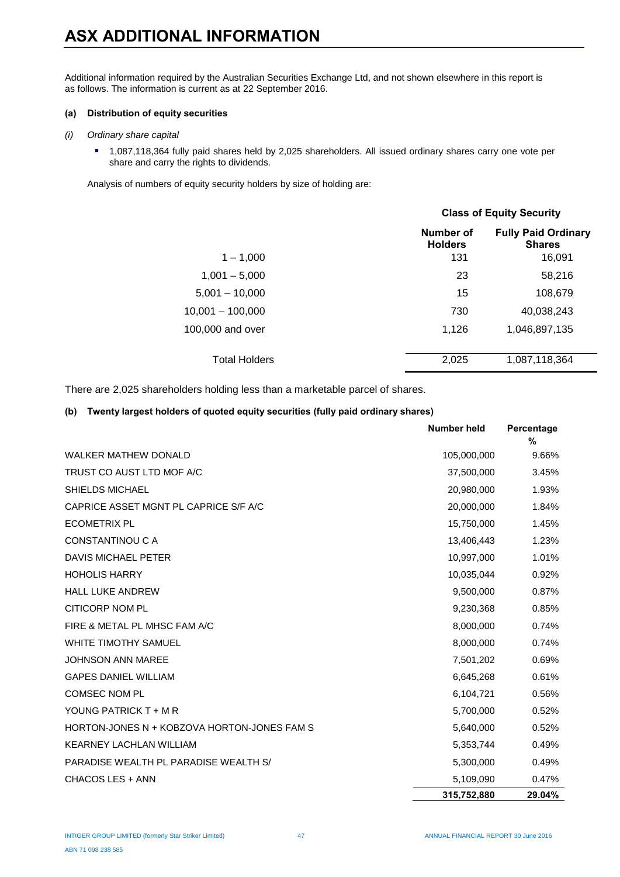# **ASX ADDITIONAL INFORMATION**

Additional information required by the Australian Securities Exchange Ltd, and not shown elsewhere in this report is as follows. The information is current as at 22 September 2016.

#### **(a) Distribution of equity securities**

#### *(i) Ordinary share capital*

 1,087,118,364 fully paid shares held by 2,025 shareholders. All issued ordinary shares carry one vote per share and carry the rights to dividends.

Analysis of numbers of equity security holders by size of holding are:

|                      |                             | <b>Class of Equity Security</b>             |  |  |
|----------------------|-----------------------------|---------------------------------------------|--|--|
|                      | Number of<br><b>Holders</b> | <b>Fully Paid Ordinary</b><br><b>Shares</b> |  |  |
| $1 - 1,000$          | 131                         | 16,091                                      |  |  |
| $1,001 - 5,000$      | 23                          | 58,216                                      |  |  |
| $5,001 - 10,000$     | 15                          | 108,679                                     |  |  |
| $10,001 - 100,000$   | 730                         | 40,038,243                                  |  |  |
| 100,000 and over     | 1,126                       | 1,046,897,135                               |  |  |
| <b>Total Holders</b> | 2,025                       | 1,087,118,364                               |  |  |

There are 2,025 shareholders holding less than a marketable parcel of shares.

#### **(b) Twenty largest holders of quoted equity securities (fully paid ordinary shares)**

|                                             | <b>Number held</b> | Percentage<br>% |
|---------------------------------------------|--------------------|-----------------|
| WALKER MATHEW DONALD                        | 105,000,000        | 9.66%           |
| TRUST CO AUST LTD MOF A/C                   | 37,500,000         | 3.45%           |
| <b>SHIELDS MICHAEL</b>                      | 20,980,000         | 1.93%           |
| CAPRICE ASSET MGNT PL CAPRICE S/F A/C       | 20,000,000         | 1.84%           |
| <b>ECOMETRIX PL</b>                         | 15,750,000         | 1.45%           |
| <b>CONSTANTINOU C A</b>                     | 13,406,443         | 1.23%           |
| <b>DAVIS MICHAEL PETER</b>                  | 10,997,000         | 1.01%           |
| <b>HOHOLIS HARRY</b>                        | 10,035,044         | 0.92%           |
| <b>HALL LUKE ANDREW</b>                     | 9,500,000          | 0.87%           |
| <b>CITICORP NOM PL</b>                      | 9,230,368          | 0.85%           |
| FIRE & METAL PL MHSC FAM A/C                | 8,000,000          | 0.74%           |
| <b>WHITE TIMOTHY SAMUEL</b>                 | 8,000,000          | 0.74%           |
| <b>JOHNSON ANN MAREE</b>                    | 7,501,202          | 0.69%           |
| <b>GAPES DANIEL WILLIAM</b>                 | 6,645,268          | 0.61%           |
| <b>COMSEC NOM PL</b>                        | 6,104,721          | 0.56%           |
| YOUNG PATRICK T + M R                       | 5,700,000          | 0.52%           |
| HORTON-JONES N + KOBZOVA HORTON-JONES FAM S | 5,640,000          | 0.52%           |
| <b>KEARNEY LACHLAN WILLIAM</b>              | 5,353,744          | 0.49%           |
| PARADISE WEALTH PL PARADISE WEALTH S/       | 5,300,000          | 0.49%           |
| CHACOS LES + ANN                            | 5,109,090          | 0.47%           |
|                                             | 315,752,880        | 29.04%          |